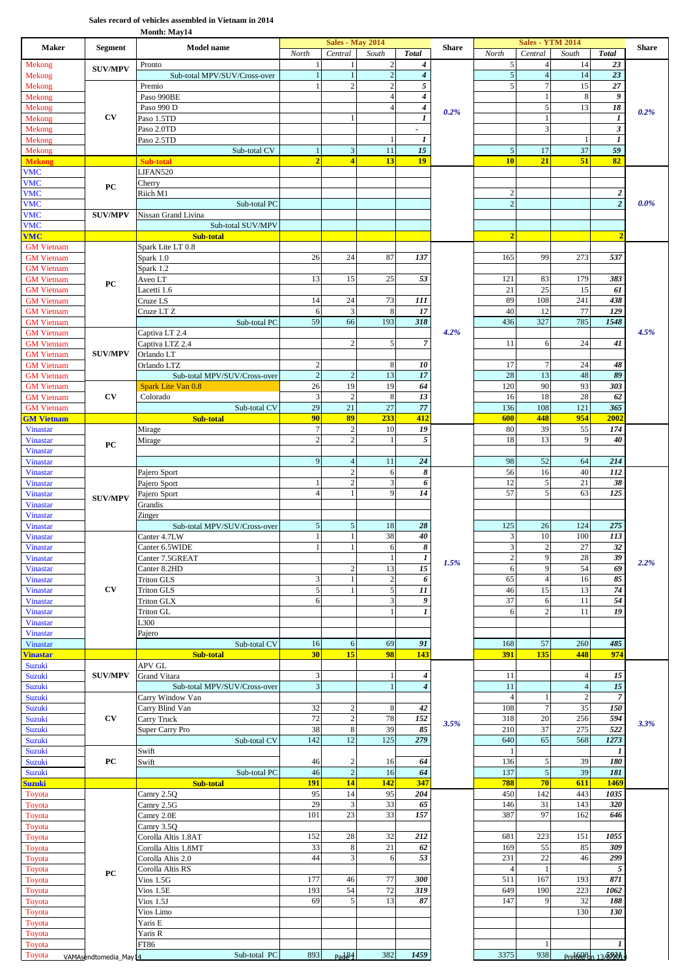## **Sales record of vehicles assembled in Vietnam in 2014**

**Month: May14**

| <b>Maker</b>                           | <b>Segment</b>        | <b>Model name</b>                                  | North                        | <b>Sales - May 2014</b><br>Central | South                            | <b>Total</b>                                 | <b>Share</b> | North                 | <b>Sales - YTM 2014</b><br>Central | South              | <b>Total</b>          | <b>Share</b> |
|----------------------------------------|-----------------------|----------------------------------------------------|------------------------------|------------------------------------|----------------------------------|----------------------------------------------|--------------|-----------------------|------------------------------------|--------------------|-----------------------|--------------|
| Mekong                                 | <b>SUV/MPV</b>        | Pronto                                             |                              | 1                                  | $\overline{2}$                   | 4                                            |              | 5                     | $\overline{4}$                     | 14                 | 23                    |              |
| Mekong                                 |                       | Sub-total MPV/SUV/Cross-over                       | $\mathbf{1}$                 | $\mathbf{1}$                       | $\overline{c}$                   | $\pmb{4}$                                    |              | $\mathfrak{s}$        | $\overline{4}$                     | 14                 | 23                    |              |
| Mekong<br>Mekong                       |                       | Premio<br>Paso 990BE                               | 1                            | $\overline{2}$                     | $\overline{2}$<br>$\overline{4}$ | $\sqrt{5}$<br>$\boldsymbol{4}$               |              | 5                     | $\tau$<br>$\mathbf{1}$             | 15<br>8            | 27<br>9               |              |
| Mekong                                 |                       | Paso 990 D                                         |                              |                                    | $\overline{4}$                   | $\pmb{4}$                                    | 0.2%         |                       | 5                                  | 13                 | $18\,$                | 0.2%         |
| Mekong                                 | CV                    | Paso 1.5TD                                         |                              | -1                                 |                                  | $\boldsymbol{l}$                             |              |                       | $\mathbf{1}$                       |                    | 1                     |              |
| Mekong<br>Mekong                       |                       | Paso 2.0TD<br>Paso 2.5TD                           |                              |                                    | $\overline{1}$                   | $\overline{\phantom{a}}$<br>$\boldsymbol{I}$ |              |                       | 3                                  | $\mathbf{1}$       | 3<br>$\boldsymbol{l}$ |              |
| Mekong                                 |                       | Sub-total CV                                       | $\mathbf{1}$                 | $\ensuremath{\mathsf{3}}$          | 11                               | 15                                           |              | 5                     | 17                                 | 37                 | 59                    |              |
| <b>Mekong</b>                          |                       | <b>Sub-total</b>                                   | $\overline{2}$               | $\overline{4}$                     | 13                               | 19                                           |              | 10                    | 21                                 | 51                 | 82                    |              |
| <b>VMC</b><br><b>VMC</b>               |                       | LIFAN520<br>Cherry                                 |                              |                                    |                                  |                                              |              |                       |                                    |                    |                       |              |
| <b>VMC</b>                             | PC                    | Riich M1                                           |                              |                                    |                                  |                                              |              | 2                     |                                    |                    | 2                     |              |
| <b>VMC</b>                             | <b>SUV/MPV</b>        | Sub-total PC                                       |                              |                                    |                                  |                                              |              | $\overline{2}$        |                                    |                    | $\overline{2}$        | 0.0%         |
| <b>VMC</b><br><b>VMC</b>               |                       | Nissan Grand Livina<br>Sub-total SUV/MPV           |                              |                                    |                                  |                                              |              |                       |                                    |                    |                       |              |
| <b>VMC</b>                             |                       | Sub-total                                          |                              |                                    |                                  |                                              |              | $\overline{2}$        |                                    |                    | $\overline{2}$        |              |
| <b>GM</b> Vietnam<br><b>GM</b> Vietnam |                       | Spark Lite LT 0.8<br>Spark 1.0                     | 26                           | 24                                 | 87                               | 137                                          |              | 165                   | 99                                 | 273                | 537                   |              |
| <b>GM</b> Vietnam                      |                       | Spark 1.2                                          |                              |                                    |                                  |                                              |              |                       |                                    |                    |                       |              |
| <b>GM</b> Vietnam                      | PC                    | Aveo LT                                            | 13                           | 15                                 | 25                               | 53                                           |              | 121                   | 83                                 | 179                | 383                   |              |
| <b>GM</b> Vietnam<br><b>GM</b> Vietnam |                       | Lacetti 1.6<br>Cruze LS                            | 14                           | 24                                 | 73                               | 111                                          |              | 21<br>89              | 25<br>108                          | 15<br>241          | 61<br>438             |              |
| <b>GM</b> Vietnam                      |                       | Cruze LT <sub>Z</sub>                              | 6                            | 3                                  | 8                                | 17                                           |              | 40                    | 12                                 | 77                 | 129                   |              |
| <b>GM</b> Vietnam                      |                       | Sub-total PC                                       | 59                           | 66                                 | 193                              | 318                                          |              | 436                   | 327                                | 785                | 1548                  |              |
| <b>GM</b> Vietnam<br><b>GM</b> Vietnam |                       | Captiva LT 2.4<br>Captiva LTZ 2.4                  |                              | $\overline{2}$                     | 5                                | $\overline{7}$                               | 4.2%         | 11                    | 6                                  | 24                 | 41                    | 4.5%         |
| <b>GM</b> Vietnam                      | <b>SUV/MPV</b>        | Orlando LT                                         |                              |                                    |                                  |                                              |              |                       |                                    |                    |                       |              |
| <b>GM</b> Vietnam                      |                       | Orlando LTZ                                        | $\overline{c}$               |                                    | 8                                | 10                                           |              | 17                    | $\overline{7}$                     | 24                 | 48                    |              |
| <b>GM</b> Vietnam<br><b>GM</b> Vietnam |                       | Sub-total MPV/SUV/Cross-over<br>Spark Lite Van 0.8 | $\overline{c}$<br>26         | $\sqrt{2}$<br>19                   | 13<br>19                         | 17<br>64                                     |              | 28<br>120             | 13<br>90                           | 48<br>93           | 89<br>303             |              |
| <b>GM</b> Vietnam                      | CV                    | Colorado                                           | 3                            | $\overline{c}$                     | 8                                | 13                                           |              | 16                    | 18                                 | 28                 | 62                    |              |
| <b>GM</b> Vietnam                      |                       | Sub-total CV                                       | 29<br>90                     | 21<br>89                           | 27<br>233                        | 77<br>412                                    |              | 136<br>600            | 108<br>448                         | 121<br>954         | 365<br>2002           |              |
| <b>GM Vietnam</b><br><b>Vinastar</b>   |                       | Sub-total<br>Mirage                                | $\tau$                       | $\boldsymbol{2}$                   | 10                               | 19                                           |              | 80                    | 39                                 | 55                 | 174                   |              |
| Vinastar                               | PC                    | Mirage                                             | $\overline{c}$               | $\overline{c}$                     |                                  | 5                                            |              | 18                    | 13                                 | 9                  | 40                    |              |
| <b>Vinastar</b>                        |                       |                                                    | 9                            | $\overline{4}$                     | 11                               | 24                                           |              | 98                    | 52                                 | 64                 | 214                   |              |
| <b>Vinastar</b><br><b>Vinastar</b>     |                       | Pajero Sport                                       |                              | $\sqrt{2}$                         | 6                                | 8                                            |              | 56                    | 16                                 | 40                 | 112                   |              |
| Vinastar                               |                       | Pajero Sport                                       | 1                            | $\sqrt{2}$                         | 3                                | 6                                            |              | 12                    | 5                                  | 21                 | 38                    |              |
| Vinastar<br><b>Vinastar</b>            | <b>SUV/MPV</b>        | Pajero Sport<br>Grandis                            | $\overline{4}$               | $\mathbf{1}$                       | 9                                | 14                                           |              | 57                    | 5                                  | 63                 | 125                   |              |
| Vinastar                               |                       | Zinger                                             |                              |                                    |                                  |                                              |              |                       |                                    |                    |                       |              |
| <b>Vinastar</b>                        |                       | Sub-total MPV/SUV/Cross-over                       | $\sqrt{5}$                   | $\sqrt{5}$                         | 18                               | 28                                           |              | 125                   | 26                                 | 124                | 275                   |              |
| <b>Vinastar</b><br>Vinastar            |                       | Canter 4.7LW<br>Canter 6.5WIDE                     | $\mathbf{1}$<br>$\mathbf{1}$ | $\mathbf{1}$<br>$\mathbf{1}$       | 38<br>6                          | 40<br>8                                      |              | 3<br>3                | 10<br>$\boldsymbol{2}$             | 100<br>27          | 113<br>32             |              |
| Vinastar                               |                       | Canter 7.5GREAT                                    |                              |                                    | $1\,$                            | $\overline{I}$                               | 1.5%         | $\overline{c}$        | $\overline{9}$                     | 28                 | 39                    | 2.2%         |
| <b>Vinastar</b>                        |                       | Canter 8.2HD                                       |                              | $\overline{c}$                     | 13                               | 15                                           |              | 6                     | $\overline{9}$                     | 54                 | 69                    |              |
| <b>Vinastar</b><br><b>Vinastar</b>     | CV                    | <b>Triton GLS</b><br><b>Triton GLS</b>             | 3<br>5                       | $\mathbf{1}$<br>$\mathbf{1}$       | $\overline{c}$<br>5              | 6<br>11                                      |              | 65<br>46              | $\overline{4}$<br>15               | 16<br>13           | 85<br>74              |              |
| <b>Vinastar</b>                        |                       | <b>Triton GLX</b>                                  | 6                            |                                    | 3                                | 9                                            |              | 37                    | 6                                  | 11                 | 54                    |              |
| <b>Vinastar</b>                        |                       | Triton GL                                          |                              |                                    |                                  | 1                                            |              | 6                     | $\overline{c}$                     | 11                 | 19                    |              |
| <b>Vinastar</b><br><b>Vinastar</b>     |                       | L300<br>Pajero                                     |                              |                                    |                                  |                                              |              |                       |                                    |                    |                       |              |
| Vinastar                               |                       | Sub-total CV                                       | 16                           | 6                                  | 69                               | 91                                           |              | 168                   | 57                                 | 260                | 485                   |              |
| <b>Vinastar</b>                        |                       | Sub-total                                          | 30                           | 15                                 | 98                               | 143                                          |              | 391                   | 135                                | 448                | 974                   |              |
| Suzuki<br>Suzuki                       | <b>SUV/MPV</b>        | APV GL<br>Grand Vitara                             | 3                            |                                    | -1                               | 4                                            |              | 11                    |                                    | $\overline{4}$     | 15                    |              |
| Suzuki                                 |                       | Sub-total MPV/SUV/Cross-over                       | $\ensuremath{\mathfrak{Z}}$  |                                    |                                  | 4                                            |              | 11                    |                                    | $\overline{4}$     | 15                    |              |
| Suzuki                                 |                       | Carry Window Van                                   |                              |                                    |                                  |                                              |              | $\overline{4}$        | $\mathbf{1}$<br>$\overline{7}$     | $\overline{c}$     | $\overline{7}$        |              |
| Suzuki<br>Suzuki                       | CV                    | Carry Blind Van<br>Carry Truck                     | 32<br>72                     | $\boldsymbol{2}$<br>$\sqrt{2}$     | 8<br>78                          | 42<br>152                                    |              | 108<br>318            | 20                                 | 35<br>256          | 150<br>594            |              |
| Suzuki                                 |                       | Super Carry Pro                                    | 38                           | $\,$ 8 $\,$                        | 39                               | 85                                           | 3.5%         | 210                   | 37                                 | 275                | 522                   | 3.3%         |
| Suzuki                                 |                       | Sub-total CV                                       | 142                          | 12                                 | 125                              | 279                                          |              | 640                   | 65                                 | 568                | 1273                  |              |
| Suzuki<br>Suzuki                       | РC                    | Swift<br>Swift                                     | 46                           | $\overline{\mathbf{c}}$            | 16                               | 64                                           |              | -1<br>136             | 5                                  | 39                 | 1<br>180              |              |
| Suzuki                                 |                       | Sub-total PC                                       | 46                           | $\overline{2}$                     | 16                               | 64                                           |              | 137                   | 5                                  | 39                 | 181                   |              |
| <b>Suzuki</b>                          |                       | Sub-total                                          | <b>191</b><br>95             | 14<br>14                           | 142<br>95                        | 347<br>204                                   |              | 788<br>450            | 70<br>142                          | 611<br>443         | 1469                  |              |
| Toyota<br>Toyota                       |                       | Camry 2.5Q<br>Camry 2.5G                           | 29                           | $\ensuremath{\mathsf{3}}$          | 33                               | 65                                           |              | 146                   | 31                                 | 143                | 1035<br>320           |              |
| Toyota                                 |                       | Camry 2.0E                                         | 101                          | 23                                 | 33                               | 157                                          |              | 387                   | 97                                 | 162                | 646                   |              |
| Toyota                                 |                       | Camry 3.5Q                                         | 152                          | 28                                 | 32                               | 212                                          |              | 681                   | 223                                | 151                | 1055                  |              |
| Toyota<br>Toyota                       |                       | Corolla Altis 1.8AT<br>Corolla Altis 1.8MT         | 33                           | 8                                  | 21                               | 62                                           |              | 169                   | 55                                 | 85                 | 309                   |              |
| Toyota                                 |                       | Corolla Altis 2.0                                  | 44                           | $\mathfrak z$                      | 6                                | 53                                           |              | 231                   | 22                                 | 46                 | 299                   |              |
| Toyota                                 | PC                    | Corolla Altis RS                                   | 177                          | 46                                 | 77                               | 300                                          |              | $\overline{4}$<br>511 | $\mathbf{1}$<br>167                | 193                | 5<br>871              |              |
| Toyota<br>Toyota                       |                       | $Vios$ 1.5G<br>Vios $1.5E$                         | 193                          | 54                                 | 72                               | 319                                          |              | 649                   | 190                                | 223                | 1062                  |              |
| Toyota                                 |                       | $V$ ios $1.5J$                                     | 69                           | 5                                  | 13                               | 87                                           |              | 147                   | 9                                  | 32                 | 188                   |              |
| Toyota<br>Toyota                       |                       | Vios Limo<br>Yaris E                               |                              |                                    |                                  |                                              |              |                       |                                    | 130                | 130                   |              |
| Toyota                                 |                       | Yaris R                                            |                              |                                    |                                  |                                              |              |                       |                                    |                    |                       |              |
| Toyota                                 |                       | FT86                                               |                              |                                    |                                  |                                              |              |                       | $\mathbf{1}$                       |                    |                       |              |
| Toyota                                 | VAMAsendtomedia May14 | Sub-total PC                                       | 893                          | Pade <sup>84</sup>                 | 382                              | 1459                                         |              | 3375                  | 938                                | Printed & 13/8/201 |                       |              |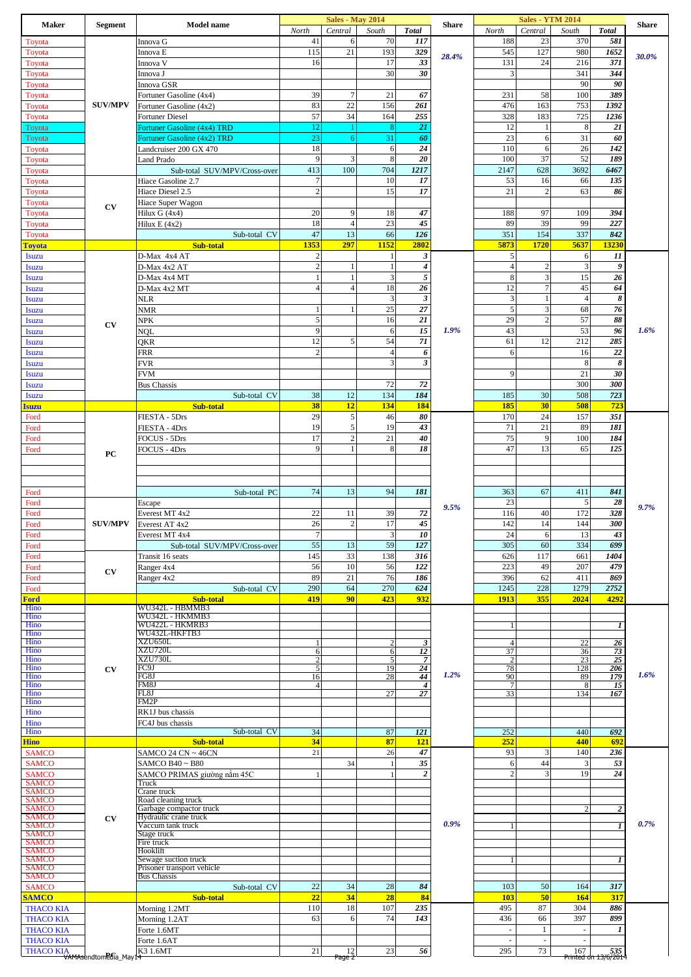| 41<br>6<br>23<br>70<br>117<br>188<br>370<br>581<br>Toyota<br>Innova G<br>115<br>21<br>193<br>329<br>545<br>980<br>127<br>1652<br>Toyota<br>Innova E<br>30.0%<br>28.4%<br>33<br>17<br>16<br>131<br>24<br>216<br>371<br>Toyota<br>Innova V<br>30<br>30<br>341<br>3<br>344<br>Toyota<br>Innova J<br>90<br>90<br>Toyota<br>Innova GSR<br>39<br>$\overline{7}$<br>21<br>67<br>58<br>100<br>389<br>231<br>Toyota<br>Fortuner Gasoline (4x4)<br>83<br>22<br><b>SUV/MPV</b><br>156<br>261<br>476<br>163<br>753<br>1392<br>Fortuner Gasoline (4x2)<br>Toyota<br>57<br>34<br>164<br>255<br>328<br>183<br>725<br>1236<br>Toyota<br><b>Fortuner Diesel</b><br>12<br>$\,$ 8 $\,$<br>21<br>21<br><b>Fortuner Gasoline (4x4) TRD</b><br>12<br>8<br>Toyota<br>1<br>31<br>23<br>23<br>31<br>60<br>6<br>60<br><b>Fortuner Gasoline (4x2) TRD</b><br>6<br>Toyota<br>18<br>24<br>110<br>26<br>6<br>6<br>142<br>Landcruiser 200 GX 470<br>Toyota<br>9<br>3<br>8<br>37<br>52<br>20<br>100<br>189<br>Land Prado<br>Toyota<br>100<br>2147<br>413<br>704<br>1217<br>628<br>3692<br>6467<br>Sub-total SUV/MPV/Cross-over<br>Toyota<br>$\boldsymbol{7}$<br>10<br>53<br>17<br>16<br>66<br>135<br>Hiace Gasoline 2.7<br>Toyota<br>$\sqrt{2}$<br>15<br>17<br>$\sqrt{2}$<br>21<br>63<br>86<br>Toyota<br>Hiace Diesel 2.5<br>Toyota<br>Hiace Super Wagon<br><b>CV</b><br>20<br>9<br>47<br>188<br>97<br>109<br>394<br>18<br>Toyota<br>Hilux G (4x4)<br>18<br>45<br>$\overline{4}$<br>23<br>89<br>39<br>99<br>227<br>Toyota<br>Hilux E (4x2)<br>47<br>13<br>126<br>351<br>154<br>337<br>842<br>Sub-total CV<br>66<br>Toyota<br>1152<br>1353<br>297<br>2802<br>5873<br>13230<br>1720<br>5637<br><b>Sub-total</b><br><b>Toyota</b><br>$\sqrt{2}$<br>$\boldsymbol{\beta}$<br>5<br>6<br>11<br>Isuzu<br>D-Max 4x4 AT<br>-1<br>$\overline{c}$<br>$\boldsymbol{4}$<br>3<br>9<br>$\overline{4}$<br>$\boldsymbol{2}$<br>D-Max 4x2 AT<br>-1<br><b>Isuzu</b><br>-1<br>$\mathbf{1}$<br>3<br>5<br>8<br>$\mathfrak{Z}$<br>15<br>26<br>$\mathbf{1}$<br><b>Isuzu</b><br>D-Max 4x4 MT<br>$\overline{4}$<br>12<br>$\overline{4}$<br>18<br>26<br>$\tau$<br>45<br>64<br>Isuzu<br>D-Max 4x2 MT<br>3<br>$\mathbf{3}$<br>3<br>$\overline{4}$<br>8<br>$\mathbf{1}$<br>NLR<br>Isuzu<br>$27\,$<br>5<br>25<br>3<br>68<br>76<br>NMR<br>1<br>1<br><b>Isuzu</b><br>5<br>21<br>$\sqrt{2}$<br>16<br>29<br>57<br>88<br>NPK<br><b>Isuzu</b><br>CV<br>9<br>$\overline{15}$<br>43<br>53<br>1.9%<br>96<br>1.6%<br>NQL<br>6<br><b>Isuzu</b><br>12<br>5<br>71<br>54<br>61<br>12<br>212<br>285<br>QKR<br><b>Isuzu</b><br>$\overline{c}$<br>22<br>$\overline{4}$<br>6<br>6<br>16<br>FRR<br><b>Isuzu</b><br>$\mathbf{3}$<br>$\overline{\mathbf{3}}$<br>8<br>$\pmb{8}$<br><b>FVR</b><br>Isuzu<br>21<br>9<br>30<br><b>FVM</b><br>Isuzu<br>72<br>72<br>300<br>300<br><b>Isuzu</b><br><b>Bus Chassis</b><br>38<br>12<br>134<br>184<br>30<br>508<br>723<br>Sub-total CV<br>185<br><b>Isuzu</b><br>38<br>12<br>134<br>184<br>185<br>30<br><b>Sub-total</b><br>508<br>723<br><b>Isuzu</b><br>5<br>29<br>80<br>170<br>24<br>157<br>351<br>46<br>FIESTA - 5Drs<br>Ford<br>19<br>43<br>71<br>89<br>5<br>19<br>21<br>181<br>FIESTA - 4Drs<br>Ford<br>17<br>$\overline{c}$<br>9<br>21<br>40<br>75<br>100<br>184<br>FOCUS - 5Drs<br>Ford<br>47<br>9<br>8<br>18<br>65<br>13<br>125<br>FOCUS - 4Drs<br>1<br>Ford<br>PC<br>74<br>13<br>94<br>181<br>363<br>67<br>411<br>841<br>Sub-total PC<br>Ford<br>23<br>5<br>28<br>Ford<br>Escape<br>9.5%<br>9.7%<br>72<br>22<br>116<br>172<br>328<br>11<br>39<br>40<br>Ford<br>Everest MT 4x2<br><b>SUV/MPV</b><br>26<br>$\overline{c}$<br>17<br>45<br>142<br>14<br>144<br>300<br>Ford<br>Everest AT 4x2<br>$\tau$<br>13<br>3<br>10<br>24<br>43<br>6<br>Ford<br>Everest MT 4x4<br>55<br>13<br>59<br>127<br>305<br>60<br>334<br>699<br>Sub-total SUV/MPV/Cross-over<br>Ford<br>33<br>145<br>138<br>316<br>626<br>117<br>1404<br>661<br>Ford<br>Transit 16 seats<br>10<br>56<br>56<br>122<br>223<br>49<br>207<br>479<br>Ford<br>Ranger 4x4<br>CV<br>89<br>21<br>76<br>62<br>186<br>396<br>411<br>869<br>Ford<br>Ranger 4x2<br>624<br>290<br>64<br>270<br>1245<br>228<br>1279<br>2752<br>Sub-total CV<br>Ford<br>419<br>90<br>423<br>932<br>355<br>2024<br>4292<br>1913<br><b>Ford</b><br>Sub-total<br>WU342L - HBMMB3<br>Hino<br>WU342L - HKMMB3<br>Hino<br>Hino<br>WU422L - HKMRB3<br>1<br>-1<br>Hino<br>WU432L-HKFTB3<br>XZU650L<br>Hino<br>22<br>26<br>$\overline{c}$<br>3<br>4<br>XZU720L<br>37<br>Hino<br>12<br>6<br>6<br>36<br>73<br>XZU730L<br>$\overline{23}$<br>$\overline{25}$<br>Hino<br>$\overline{2}$<br>5<br>$\overline{7}$<br>$\overline{2}$<br>$\overline{5}$<br>Hino<br>FC9J<br>24<br>19<br>78<br>128<br>206<br>CV<br>1.2%<br>1.6%<br>44<br>Hino<br>FG8J<br>16<br>28<br>90<br>89<br>179<br><b>FM8J</b><br>Hino<br>$\overline{4}$<br>$\overline{4}$<br>$\overline{7}$<br>8<br>15<br>Hino<br>FL8J<br>27<br>27<br>33<br>134<br>167<br>FM2P<br>Hino<br>Hino<br>RK1J bus chassis<br>Hino<br>FC4J bus chassis<br>Sub-total CV<br>Hino<br>34<br>87<br>121<br>252<br>440<br>692<br>34<br>87<br>121<br>252<br>440<br>692<br><b>Sub-total</b><br>47<br>93<br>140<br>236<br>SAMCO 24 CN ~ 46CN<br>21<br>26<br>3<br><b>SAMCO</b><br>35<br>6<br>44<br>3<br>53<br><b>SAMCO</b><br>SAMCO B40~B80<br>34<br>$\overline{2}$<br>$\overline{c}$<br>19<br>24<br>3<br><b>SAMCO</b><br>SAMCO PRIMAS giường nằm 45C<br><b>SAMCO</b><br>Truck<br><b>SAMCO</b><br>Crane truck<br>Road cleaning truck<br><b>SAMCO</b><br><b>SAMCO</b><br>Garbage compactor truck<br>$\overline{\mathbf{2}}$<br>Hydraulic crane truck<br><b>SAMCO</b><br>CV<br>0.9%<br>0.7%<br><b>SAMCO</b><br>Vaccum tank truck<br>1<br><b>SAMCO</b><br>Stage truck<br><b>SAMCO</b><br>Fire truck<br><b>SAMCO</b><br>Hooklift<br><b>SAMCO</b><br>Sewage suction truck<br>1<br>Prisoner transport vehicle<br><b>SAMCO</b><br><b>Bus Chassis</b><br><b>SAMCO</b><br>22<br>34<br>84<br>103<br>50<br>317<br><b>SAMCO</b><br>Sub-total CV<br>28<br>164<br>34<br>50<br><b>SAMCO</b><br>22<br>28<br>84<br>164<br><b>Sub-total</b><br>103<br>317<br>110<br>18<br>107<br>235<br>495<br>87<br>304<br>886<br><b>THACO KIA</b><br>Morning 1.2MT<br>6<br>74<br>63<br>143<br>436<br>66<br>397<br>899<br><b>THACO KIA</b><br>Morning 1.2AT<br><b>THACO KIA</b><br>$\mathbf{1}$<br>Forte 1.6MT<br>1<br>$\sim$<br>$\overline{\phantom{a}}$<br><b>THACO KIA</b><br>Forte 1.6AT<br>$\mathcal{L}$<br>$\overline{\phantom{a}}$<br>21<br>23<br>295<br>73<br>THACO KIA<br>VAMAsendtomedia_May14<br>K3 1.6MT<br>$\frac{12}{\text{Page } 2}$<br>56<br>$\frac{167}{2} \frac{535}{2014}$ | <b>Maker</b> | <b>Segment</b> | <b>Model name</b> | North | <b>Sales - May 2014</b><br>Central | South | <b>Total</b> | <b>Share</b> | North | <b>Sales - YTM 2014</b><br>Central | South | <b>Total</b> | <b>Share</b> |
|-------------------------------------------------------------------------------------------------------------------------------------------------------------------------------------------------------------------------------------------------------------------------------------------------------------------------------------------------------------------------------------------------------------------------------------------------------------------------------------------------------------------------------------------------------------------------------------------------------------------------------------------------------------------------------------------------------------------------------------------------------------------------------------------------------------------------------------------------------------------------------------------------------------------------------------------------------------------------------------------------------------------------------------------------------------------------------------------------------------------------------------------------------------------------------------------------------------------------------------------------------------------------------------------------------------------------------------------------------------------------------------------------------------------------------------------------------------------------------------------------------------------------------------------------------------------------------------------------------------------------------------------------------------------------------------------------------------------------------------------------------------------------------------------------------------------------------------------------------------------------------------------------------------------------------------------------------------------------------------------------------------------------------------------------------------------------------------------------------------------------------------------------------------------------------------------------------------------------------------------------------------------------------------------------------------------------------------------------------------------------------------------------------------------------------------------------------------------------------------------------------------------------------------------------------------------------------------------------------------------------------------------------------------------------------------------------------------------------------------------------------------------------------------------------------------------------------------------------------------------------------------------------------------------------------------------------------------------------------------------------------------------------------------------------------------------------------------------------------------------------------------------------------------------------------------------------------------------------------------------------------------------------------------------------------------------------------------------------------------------------------------------------------------------------------------------------------------------------------------------------------------------------------------------------------------------------------------------------------------------------------------------------------------------------------------------------------------------------------------------------------------------------------------------------------------------------------------------------------------------------------------------------------------------------------------------------------------------------------------------------------------------------------------------------------------------------------------------------------------------------------------------------------------------------------------------------------------------------------------------------------------------------------------------------------------------------------------------------------------------------------------------------------------------------------------------------------------------------------------------------------------------------------------------------------------------------------------------------------------------------------------------------------------------------------------------------------------------------------------------------------------------------------------------------------------------------------------------------------------------------------------------------------------------------------------------------------------------------------------------------------------------------------------------------------------------------------------------------------------------------------------------------------------------------------------------------------------------------------------------------------------------------------------------------------------------------------------------------------------------------------------------------------------------------------------------------------------------------------------------------------------------------------------------------------------------------------------------------------------------------------------------------------------------------------------------------------------------------------------------------------------------------------------------------------------------------------------------------------------------------------------------------------------------------------------------------------------------------------------------------------------------------------------------------------------------------------------------------------------------------------------------------------------------------------------------------------------------------------------------------------------------------------------------------------------------------------------------------------------------------------------------------------------------------------------------------------------------------------------------------------------------------------------------------------------|--------------|----------------|-------------------|-------|------------------------------------|-------|--------------|--------------|-------|------------------------------------|-------|--------------|--------------|
|                                                                                                                                                                                                                                                                                                                                                                                                                                                                                                                                                                                                                                                                                                                                                                                                                                                                                                                                                                                                                                                                                                                                                                                                                                                                                                                                                                                                                                                                                                                                                                                                                                                                                                                                                                                                                                                                                                                                                                                                                                                                                                                                                                                                                                                                                                                                                                                                                                                                                                                                                                                                                                                                                                                                                                                                                                                                                                                                                                                                                                                                                                                                                                                                                                                                                                                                                                                                                                                                                                                                                                                                                                                                                                                                                                                                                                                                                                                                                                                                                                                                                                                                                                                                                                                                                                                                                                                                                                                                                                                                                                                                                                                                                                                                                                                                                                                                                                                                                                                                                                                                                                                                                                                                                                                                                                                                                                                                                                                                                                                                                                                                                                                                                                                                                                                                                                                                                                                                                                                                                                                                                                                                                                                                                                                                                                                                                                                                                                                                                                                                                             |              |                |                   |       |                                    |       |              |              |       |                                    |       |              |              |
|                                                                                                                                                                                                                                                                                                                                                                                                                                                                                                                                                                                                                                                                                                                                                                                                                                                                                                                                                                                                                                                                                                                                                                                                                                                                                                                                                                                                                                                                                                                                                                                                                                                                                                                                                                                                                                                                                                                                                                                                                                                                                                                                                                                                                                                                                                                                                                                                                                                                                                                                                                                                                                                                                                                                                                                                                                                                                                                                                                                                                                                                                                                                                                                                                                                                                                                                                                                                                                                                                                                                                                                                                                                                                                                                                                                                                                                                                                                                                                                                                                                                                                                                                                                                                                                                                                                                                                                                                                                                                                                                                                                                                                                                                                                                                                                                                                                                                                                                                                                                                                                                                                                                                                                                                                                                                                                                                                                                                                                                                                                                                                                                                                                                                                                                                                                                                                                                                                                                                                                                                                                                                                                                                                                                                                                                                                                                                                                                                                                                                                                                                             |              |                |                   |       |                                    |       |              |              |       |                                    |       |              |              |
|                                                                                                                                                                                                                                                                                                                                                                                                                                                                                                                                                                                                                                                                                                                                                                                                                                                                                                                                                                                                                                                                                                                                                                                                                                                                                                                                                                                                                                                                                                                                                                                                                                                                                                                                                                                                                                                                                                                                                                                                                                                                                                                                                                                                                                                                                                                                                                                                                                                                                                                                                                                                                                                                                                                                                                                                                                                                                                                                                                                                                                                                                                                                                                                                                                                                                                                                                                                                                                                                                                                                                                                                                                                                                                                                                                                                                                                                                                                                                                                                                                                                                                                                                                                                                                                                                                                                                                                                                                                                                                                                                                                                                                                                                                                                                                                                                                                                                                                                                                                                                                                                                                                                                                                                                                                                                                                                                                                                                                                                                                                                                                                                                                                                                                                                                                                                                                                                                                                                                                                                                                                                                                                                                                                                                                                                                                                                                                                                                                                                                                                                                             |              |                |                   |       |                                    |       |              |              |       |                                    |       |              |              |
|                                                                                                                                                                                                                                                                                                                                                                                                                                                                                                                                                                                                                                                                                                                                                                                                                                                                                                                                                                                                                                                                                                                                                                                                                                                                                                                                                                                                                                                                                                                                                                                                                                                                                                                                                                                                                                                                                                                                                                                                                                                                                                                                                                                                                                                                                                                                                                                                                                                                                                                                                                                                                                                                                                                                                                                                                                                                                                                                                                                                                                                                                                                                                                                                                                                                                                                                                                                                                                                                                                                                                                                                                                                                                                                                                                                                                                                                                                                                                                                                                                                                                                                                                                                                                                                                                                                                                                                                                                                                                                                                                                                                                                                                                                                                                                                                                                                                                                                                                                                                                                                                                                                                                                                                                                                                                                                                                                                                                                                                                                                                                                                                                                                                                                                                                                                                                                                                                                                                                                                                                                                                                                                                                                                                                                                                                                                                                                                                                                                                                                                                                             |              |                |                   |       |                                    |       |              |              |       |                                    |       |              |              |
|                                                                                                                                                                                                                                                                                                                                                                                                                                                                                                                                                                                                                                                                                                                                                                                                                                                                                                                                                                                                                                                                                                                                                                                                                                                                                                                                                                                                                                                                                                                                                                                                                                                                                                                                                                                                                                                                                                                                                                                                                                                                                                                                                                                                                                                                                                                                                                                                                                                                                                                                                                                                                                                                                                                                                                                                                                                                                                                                                                                                                                                                                                                                                                                                                                                                                                                                                                                                                                                                                                                                                                                                                                                                                                                                                                                                                                                                                                                                                                                                                                                                                                                                                                                                                                                                                                                                                                                                                                                                                                                                                                                                                                                                                                                                                                                                                                                                                                                                                                                                                                                                                                                                                                                                                                                                                                                                                                                                                                                                                                                                                                                                                                                                                                                                                                                                                                                                                                                                                                                                                                                                                                                                                                                                                                                                                                                                                                                                                                                                                                                                                             |              |                |                   |       |                                    |       |              |              |       |                                    |       |              |              |
|                                                                                                                                                                                                                                                                                                                                                                                                                                                                                                                                                                                                                                                                                                                                                                                                                                                                                                                                                                                                                                                                                                                                                                                                                                                                                                                                                                                                                                                                                                                                                                                                                                                                                                                                                                                                                                                                                                                                                                                                                                                                                                                                                                                                                                                                                                                                                                                                                                                                                                                                                                                                                                                                                                                                                                                                                                                                                                                                                                                                                                                                                                                                                                                                                                                                                                                                                                                                                                                                                                                                                                                                                                                                                                                                                                                                                                                                                                                                                                                                                                                                                                                                                                                                                                                                                                                                                                                                                                                                                                                                                                                                                                                                                                                                                                                                                                                                                                                                                                                                                                                                                                                                                                                                                                                                                                                                                                                                                                                                                                                                                                                                                                                                                                                                                                                                                                                                                                                                                                                                                                                                                                                                                                                                                                                                                                                                                                                                                                                                                                                                                             |              |                |                   |       |                                    |       |              |              |       |                                    |       |              |              |
|                                                                                                                                                                                                                                                                                                                                                                                                                                                                                                                                                                                                                                                                                                                                                                                                                                                                                                                                                                                                                                                                                                                                                                                                                                                                                                                                                                                                                                                                                                                                                                                                                                                                                                                                                                                                                                                                                                                                                                                                                                                                                                                                                                                                                                                                                                                                                                                                                                                                                                                                                                                                                                                                                                                                                                                                                                                                                                                                                                                                                                                                                                                                                                                                                                                                                                                                                                                                                                                                                                                                                                                                                                                                                                                                                                                                                                                                                                                                                                                                                                                                                                                                                                                                                                                                                                                                                                                                                                                                                                                                                                                                                                                                                                                                                                                                                                                                                                                                                                                                                                                                                                                                                                                                                                                                                                                                                                                                                                                                                                                                                                                                                                                                                                                                                                                                                                                                                                                                                                                                                                                                                                                                                                                                                                                                                                                                                                                                                                                                                                                                                             |              |                |                   |       |                                    |       |              |              |       |                                    |       |              |              |
|                                                                                                                                                                                                                                                                                                                                                                                                                                                                                                                                                                                                                                                                                                                                                                                                                                                                                                                                                                                                                                                                                                                                                                                                                                                                                                                                                                                                                                                                                                                                                                                                                                                                                                                                                                                                                                                                                                                                                                                                                                                                                                                                                                                                                                                                                                                                                                                                                                                                                                                                                                                                                                                                                                                                                                                                                                                                                                                                                                                                                                                                                                                                                                                                                                                                                                                                                                                                                                                                                                                                                                                                                                                                                                                                                                                                                                                                                                                                                                                                                                                                                                                                                                                                                                                                                                                                                                                                                                                                                                                                                                                                                                                                                                                                                                                                                                                                                                                                                                                                                                                                                                                                                                                                                                                                                                                                                                                                                                                                                                                                                                                                                                                                                                                                                                                                                                                                                                                                                                                                                                                                                                                                                                                                                                                                                                                                                                                                                                                                                                                                                             |              |                |                   |       |                                    |       |              |              |       |                                    |       |              |              |
|                                                                                                                                                                                                                                                                                                                                                                                                                                                                                                                                                                                                                                                                                                                                                                                                                                                                                                                                                                                                                                                                                                                                                                                                                                                                                                                                                                                                                                                                                                                                                                                                                                                                                                                                                                                                                                                                                                                                                                                                                                                                                                                                                                                                                                                                                                                                                                                                                                                                                                                                                                                                                                                                                                                                                                                                                                                                                                                                                                                                                                                                                                                                                                                                                                                                                                                                                                                                                                                                                                                                                                                                                                                                                                                                                                                                                                                                                                                                                                                                                                                                                                                                                                                                                                                                                                                                                                                                                                                                                                                                                                                                                                                                                                                                                                                                                                                                                                                                                                                                                                                                                                                                                                                                                                                                                                                                                                                                                                                                                                                                                                                                                                                                                                                                                                                                                                                                                                                                                                                                                                                                                                                                                                                                                                                                                                                                                                                                                                                                                                                                                             |              |                |                   |       |                                    |       |              |              |       |                                    |       |              |              |
|                                                                                                                                                                                                                                                                                                                                                                                                                                                                                                                                                                                                                                                                                                                                                                                                                                                                                                                                                                                                                                                                                                                                                                                                                                                                                                                                                                                                                                                                                                                                                                                                                                                                                                                                                                                                                                                                                                                                                                                                                                                                                                                                                                                                                                                                                                                                                                                                                                                                                                                                                                                                                                                                                                                                                                                                                                                                                                                                                                                                                                                                                                                                                                                                                                                                                                                                                                                                                                                                                                                                                                                                                                                                                                                                                                                                                                                                                                                                                                                                                                                                                                                                                                                                                                                                                                                                                                                                                                                                                                                                                                                                                                                                                                                                                                                                                                                                                                                                                                                                                                                                                                                                                                                                                                                                                                                                                                                                                                                                                                                                                                                                                                                                                                                                                                                                                                                                                                                                                                                                                                                                                                                                                                                                                                                                                                                                                                                                                                                                                                                                                             |              |                |                   |       |                                    |       |              |              |       |                                    |       |              |              |
|                                                                                                                                                                                                                                                                                                                                                                                                                                                                                                                                                                                                                                                                                                                                                                                                                                                                                                                                                                                                                                                                                                                                                                                                                                                                                                                                                                                                                                                                                                                                                                                                                                                                                                                                                                                                                                                                                                                                                                                                                                                                                                                                                                                                                                                                                                                                                                                                                                                                                                                                                                                                                                                                                                                                                                                                                                                                                                                                                                                                                                                                                                                                                                                                                                                                                                                                                                                                                                                                                                                                                                                                                                                                                                                                                                                                                                                                                                                                                                                                                                                                                                                                                                                                                                                                                                                                                                                                                                                                                                                                                                                                                                                                                                                                                                                                                                                                                                                                                                                                                                                                                                                                                                                                                                                                                                                                                                                                                                                                                                                                                                                                                                                                                                                                                                                                                                                                                                                                                                                                                                                                                                                                                                                                                                                                                                                                                                                                                                                                                                                                                             |              |                |                   |       |                                    |       |              |              |       |                                    |       |              |              |
|                                                                                                                                                                                                                                                                                                                                                                                                                                                                                                                                                                                                                                                                                                                                                                                                                                                                                                                                                                                                                                                                                                                                                                                                                                                                                                                                                                                                                                                                                                                                                                                                                                                                                                                                                                                                                                                                                                                                                                                                                                                                                                                                                                                                                                                                                                                                                                                                                                                                                                                                                                                                                                                                                                                                                                                                                                                                                                                                                                                                                                                                                                                                                                                                                                                                                                                                                                                                                                                                                                                                                                                                                                                                                                                                                                                                                                                                                                                                                                                                                                                                                                                                                                                                                                                                                                                                                                                                                                                                                                                                                                                                                                                                                                                                                                                                                                                                                                                                                                                                                                                                                                                                                                                                                                                                                                                                                                                                                                                                                                                                                                                                                                                                                                                                                                                                                                                                                                                                                                                                                                                                                                                                                                                                                                                                                                                                                                                                                                                                                                                                                             |              |                |                   |       |                                    |       |              |              |       |                                    |       |              |              |
|                                                                                                                                                                                                                                                                                                                                                                                                                                                                                                                                                                                                                                                                                                                                                                                                                                                                                                                                                                                                                                                                                                                                                                                                                                                                                                                                                                                                                                                                                                                                                                                                                                                                                                                                                                                                                                                                                                                                                                                                                                                                                                                                                                                                                                                                                                                                                                                                                                                                                                                                                                                                                                                                                                                                                                                                                                                                                                                                                                                                                                                                                                                                                                                                                                                                                                                                                                                                                                                                                                                                                                                                                                                                                                                                                                                                                                                                                                                                                                                                                                                                                                                                                                                                                                                                                                                                                                                                                                                                                                                                                                                                                                                                                                                                                                                                                                                                                                                                                                                                                                                                                                                                                                                                                                                                                                                                                                                                                                                                                                                                                                                                                                                                                                                                                                                                                                                                                                                                                                                                                                                                                                                                                                                                                                                                                                                                                                                                                                                                                                                                                             |              |                |                   |       |                                    |       |              |              |       |                                    |       |              |              |
|                                                                                                                                                                                                                                                                                                                                                                                                                                                                                                                                                                                                                                                                                                                                                                                                                                                                                                                                                                                                                                                                                                                                                                                                                                                                                                                                                                                                                                                                                                                                                                                                                                                                                                                                                                                                                                                                                                                                                                                                                                                                                                                                                                                                                                                                                                                                                                                                                                                                                                                                                                                                                                                                                                                                                                                                                                                                                                                                                                                                                                                                                                                                                                                                                                                                                                                                                                                                                                                                                                                                                                                                                                                                                                                                                                                                                                                                                                                                                                                                                                                                                                                                                                                                                                                                                                                                                                                                                                                                                                                                                                                                                                                                                                                                                                                                                                                                                                                                                                                                                                                                                                                                                                                                                                                                                                                                                                                                                                                                                                                                                                                                                                                                                                                                                                                                                                                                                                                                                                                                                                                                                                                                                                                                                                                                                                                                                                                                                                                                                                                                                             |              |                |                   |       |                                    |       |              |              |       |                                    |       |              |              |
|                                                                                                                                                                                                                                                                                                                                                                                                                                                                                                                                                                                                                                                                                                                                                                                                                                                                                                                                                                                                                                                                                                                                                                                                                                                                                                                                                                                                                                                                                                                                                                                                                                                                                                                                                                                                                                                                                                                                                                                                                                                                                                                                                                                                                                                                                                                                                                                                                                                                                                                                                                                                                                                                                                                                                                                                                                                                                                                                                                                                                                                                                                                                                                                                                                                                                                                                                                                                                                                                                                                                                                                                                                                                                                                                                                                                                                                                                                                                                                                                                                                                                                                                                                                                                                                                                                                                                                                                                                                                                                                                                                                                                                                                                                                                                                                                                                                                                                                                                                                                                                                                                                                                                                                                                                                                                                                                                                                                                                                                                                                                                                                                                                                                                                                                                                                                                                                                                                                                                                                                                                                                                                                                                                                                                                                                                                                                                                                                                                                                                                                                                             |              |                |                   |       |                                    |       |              |              |       |                                    |       |              |              |
|                                                                                                                                                                                                                                                                                                                                                                                                                                                                                                                                                                                                                                                                                                                                                                                                                                                                                                                                                                                                                                                                                                                                                                                                                                                                                                                                                                                                                                                                                                                                                                                                                                                                                                                                                                                                                                                                                                                                                                                                                                                                                                                                                                                                                                                                                                                                                                                                                                                                                                                                                                                                                                                                                                                                                                                                                                                                                                                                                                                                                                                                                                                                                                                                                                                                                                                                                                                                                                                                                                                                                                                                                                                                                                                                                                                                                                                                                                                                                                                                                                                                                                                                                                                                                                                                                                                                                                                                                                                                                                                                                                                                                                                                                                                                                                                                                                                                                                                                                                                                                                                                                                                                                                                                                                                                                                                                                                                                                                                                                                                                                                                                                                                                                                                                                                                                                                                                                                                                                                                                                                                                                                                                                                                                                                                                                                                                                                                                                                                                                                                                                             |              |                |                   |       |                                    |       |              |              |       |                                    |       |              |              |
|                                                                                                                                                                                                                                                                                                                                                                                                                                                                                                                                                                                                                                                                                                                                                                                                                                                                                                                                                                                                                                                                                                                                                                                                                                                                                                                                                                                                                                                                                                                                                                                                                                                                                                                                                                                                                                                                                                                                                                                                                                                                                                                                                                                                                                                                                                                                                                                                                                                                                                                                                                                                                                                                                                                                                                                                                                                                                                                                                                                                                                                                                                                                                                                                                                                                                                                                                                                                                                                                                                                                                                                                                                                                                                                                                                                                                                                                                                                                                                                                                                                                                                                                                                                                                                                                                                                                                                                                                                                                                                                                                                                                                                                                                                                                                                                                                                                                                                                                                                                                                                                                                                                                                                                                                                                                                                                                                                                                                                                                                                                                                                                                                                                                                                                                                                                                                                                                                                                                                                                                                                                                                                                                                                                                                                                                                                                                                                                                                                                                                                                                                             |              |                |                   |       |                                    |       |              |              |       |                                    |       |              |              |
|                                                                                                                                                                                                                                                                                                                                                                                                                                                                                                                                                                                                                                                                                                                                                                                                                                                                                                                                                                                                                                                                                                                                                                                                                                                                                                                                                                                                                                                                                                                                                                                                                                                                                                                                                                                                                                                                                                                                                                                                                                                                                                                                                                                                                                                                                                                                                                                                                                                                                                                                                                                                                                                                                                                                                                                                                                                                                                                                                                                                                                                                                                                                                                                                                                                                                                                                                                                                                                                                                                                                                                                                                                                                                                                                                                                                                                                                                                                                                                                                                                                                                                                                                                                                                                                                                                                                                                                                                                                                                                                                                                                                                                                                                                                                                                                                                                                                                                                                                                                                                                                                                                                                                                                                                                                                                                                                                                                                                                                                                                                                                                                                                                                                                                                                                                                                                                                                                                                                                                                                                                                                                                                                                                                                                                                                                                                                                                                                                                                                                                                                                             |              |                |                   |       |                                    |       |              |              |       |                                    |       |              |              |
|                                                                                                                                                                                                                                                                                                                                                                                                                                                                                                                                                                                                                                                                                                                                                                                                                                                                                                                                                                                                                                                                                                                                                                                                                                                                                                                                                                                                                                                                                                                                                                                                                                                                                                                                                                                                                                                                                                                                                                                                                                                                                                                                                                                                                                                                                                                                                                                                                                                                                                                                                                                                                                                                                                                                                                                                                                                                                                                                                                                                                                                                                                                                                                                                                                                                                                                                                                                                                                                                                                                                                                                                                                                                                                                                                                                                                                                                                                                                                                                                                                                                                                                                                                                                                                                                                                                                                                                                                                                                                                                                                                                                                                                                                                                                                                                                                                                                                                                                                                                                                                                                                                                                                                                                                                                                                                                                                                                                                                                                                                                                                                                                                                                                                                                                                                                                                                                                                                                                                                                                                                                                                                                                                                                                                                                                                                                                                                                                                                                                                                                                                             |              |                |                   |       |                                    |       |              |              |       |                                    |       |              |              |
|                                                                                                                                                                                                                                                                                                                                                                                                                                                                                                                                                                                                                                                                                                                                                                                                                                                                                                                                                                                                                                                                                                                                                                                                                                                                                                                                                                                                                                                                                                                                                                                                                                                                                                                                                                                                                                                                                                                                                                                                                                                                                                                                                                                                                                                                                                                                                                                                                                                                                                                                                                                                                                                                                                                                                                                                                                                                                                                                                                                                                                                                                                                                                                                                                                                                                                                                                                                                                                                                                                                                                                                                                                                                                                                                                                                                                                                                                                                                                                                                                                                                                                                                                                                                                                                                                                                                                                                                                                                                                                                                                                                                                                                                                                                                                                                                                                                                                                                                                                                                                                                                                                                                                                                                                                                                                                                                                                                                                                                                                                                                                                                                                                                                                                                                                                                                                                                                                                                                                                                                                                                                                                                                                                                                                                                                                                                                                                                                                                                                                                                                                             |              |                |                   |       |                                    |       |              |              |       |                                    |       |              |              |
|                                                                                                                                                                                                                                                                                                                                                                                                                                                                                                                                                                                                                                                                                                                                                                                                                                                                                                                                                                                                                                                                                                                                                                                                                                                                                                                                                                                                                                                                                                                                                                                                                                                                                                                                                                                                                                                                                                                                                                                                                                                                                                                                                                                                                                                                                                                                                                                                                                                                                                                                                                                                                                                                                                                                                                                                                                                                                                                                                                                                                                                                                                                                                                                                                                                                                                                                                                                                                                                                                                                                                                                                                                                                                                                                                                                                                                                                                                                                                                                                                                                                                                                                                                                                                                                                                                                                                                                                                                                                                                                                                                                                                                                                                                                                                                                                                                                                                                                                                                                                                                                                                                                                                                                                                                                                                                                                                                                                                                                                                                                                                                                                                                                                                                                                                                                                                                                                                                                                                                                                                                                                                                                                                                                                                                                                                                                                                                                                                                                                                                                                                             |              |                |                   |       |                                    |       |              |              |       |                                    |       |              |              |
|                                                                                                                                                                                                                                                                                                                                                                                                                                                                                                                                                                                                                                                                                                                                                                                                                                                                                                                                                                                                                                                                                                                                                                                                                                                                                                                                                                                                                                                                                                                                                                                                                                                                                                                                                                                                                                                                                                                                                                                                                                                                                                                                                                                                                                                                                                                                                                                                                                                                                                                                                                                                                                                                                                                                                                                                                                                                                                                                                                                                                                                                                                                                                                                                                                                                                                                                                                                                                                                                                                                                                                                                                                                                                                                                                                                                                                                                                                                                                                                                                                                                                                                                                                                                                                                                                                                                                                                                                                                                                                                                                                                                                                                                                                                                                                                                                                                                                                                                                                                                                                                                                                                                                                                                                                                                                                                                                                                                                                                                                                                                                                                                                                                                                                                                                                                                                                                                                                                                                                                                                                                                                                                                                                                                                                                                                                                                                                                                                                                                                                                                                             |              |                |                   |       |                                    |       |              |              |       |                                    |       |              |              |
|                                                                                                                                                                                                                                                                                                                                                                                                                                                                                                                                                                                                                                                                                                                                                                                                                                                                                                                                                                                                                                                                                                                                                                                                                                                                                                                                                                                                                                                                                                                                                                                                                                                                                                                                                                                                                                                                                                                                                                                                                                                                                                                                                                                                                                                                                                                                                                                                                                                                                                                                                                                                                                                                                                                                                                                                                                                                                                                                                                                                                                                                                                                                                                                                                                                                                                                                                                                                                                                                                                                                                                                                                                                                                                                                                                                                                                                                                                                                                                                                                                                                                                                                                                                                                                                                                                                                                                                                                                                                                                                                                                                                                                                                                                                                                                                                                                                                                                                                                                                                                                                                                                                                                                                                                                                                                                                                                                                                                                                                                                                                                                                                                                                                                                                                                                                                                                                                                                                                                                                                                                                                                                                                                                                                                                                                                                                                                                                                                                                                                                                                                             |              |                |                   |       |                                    |       |              |              |       |                                    |       |              |              |
|                                                                                                                                                                                                                                                                                                                                                                                                                                                                                                                                                                                                                                                                                                                                                                                                                                                                                                                                                                                                                                                                                                                                                                                                                                                                                                                                                                                                                                                                                                                                                                                                                                                                                                                                                                                                                                                                                                                                                                                                                                                                                                                                                                                                                                                                                                                                                                                                                                                                                                                                                                                                                                                                                                                                                                                                                                                                                                                                                                                                                                                                                                                                                                                                                                                                                                                                                                                                                                                                                                                                                                                                                                                                                                                                                                                                                                                                                                                                                                                                                                                                                                                                                                                                                                                                                                                                                                                                                                                                                                                                                                                                                                                                                                                                                                                                                                                                                                                                                                                                                                                                                                                                                                                                                                                                                                                                                                                                                                                                                                                                                                                                                                                                                                                                                                                                                                                                                                                                                                                                                                                                                                                                                                                                                                                                                                                                                                                                                                                                                                                                                             |              |                |                   |       |                                    |       |              |              |       |                                    |       |              |              |
|                                                                                                                                                                                                                                                                                                                                                                                                                                                                                                                                                                                                                                                                                                                                                                                                                                                                                                                                                                                                                                                                                                                                                                                                                                                                                                                                                                                                                                                                                                                                                                                                                                                                                                                                                                                                                                                                                                                                                                                                                                                                                                                                                                                                                                                                                                                                                                                                                                                                                                                                                                                                                                                                                                                                                                                                                                                                                                                                                                                                                                                                                                                                                                                                                                                                                                                                                                                                                                                                                                                                                                                                                                                                                                                                                                                                                                                                                                                                                                                                                                                                                                                                                                                                                                                                                                                                                                                                                                                                                                                                                                                                                                                                                                                                                                                                                                                                                                                                                                                                                                                                                                                                                                                                                                                                                                                                                                                                                                                                                                                                                                                                                                                                                                                                                                                                                                                                                                                                                                                                                                                                                                                                                                                                                                                                                                                                                                                                                                                                                                                                                             |              |                |                   |       |                                    |       |              |              |       |                                    |       |              |              |
|                                                                                                                                                                                                                                                                                                                                                                                                                                                                                                                                                                                                                                                                                                                                                                                                                                                                                                                                                                                                                                                                                                                                                                                                                                                                                                                                                                                                                                                                                                                                                                                                                                                                                                                                                                                                                                                                                                                                                                                                                                                                                                                                                                                                                                                                                                                                                                                                                                                                                                                                                                                                                                                                                                                                                                                                                                                                                                                                                                                                                                                                                                                                                                                                                                                                                                                                                                                                                                                                                                                                                                                                                                                                                                                                                                                                                                                                                                                                                                                                                                                                                                                                                                                                                                                                                                                                                                                                                                                                                                                                                                                                                                                                                                                                                                                                                                                                                                                                                                                                                                                                                                                                                                                                                                                                                                                                                                                                                                                                                                                                                                                                                                                                                                                                                                                                                                                                                                                                                                                                                                                                                                                                                                                                                                                                                                                                                                                                                                                                                                                                                             |              |                |                   |       |                                    |       |              |              |       |                                    |       |              |              |
|                                                                                                                                                                                                                                                                                                                                                                                                                                                                                                                                                                                                                                                                                                                                                                                                                                                                                                                                                                                                                                                                                                                                                                                                                                                                                                                                                                                                                                                                                                                                                                                                                                                                                                                                                                                                                                                                                                                                                                                                                                                                                                                                                                                                                                                                                                                                                                                                                                                                                                                                                                                                                                                                                                                                                                                                                                                                                                                                                                                                                                                                                                                                                                                                                                                                                                                                                                                                                                                                                                                                                                                                                                                                                                                                                                                                                                                                                                                                                                                                                                                                                                                                                                                                                                                                                                                                                                                                                                                                                                                                                                                                                                                                                                                                                                                                                                                                                                                                                                                                                                                                                                                                                                                                                                                                                                                                                                                                                                                                                                                                                                                                                                                                                                                                                                                                                                                                                                                                                                                                                                                                                                                                                                                                                                                                                                                                                                                                                                                                                                                                                             |              |                |                   |       |                                    |       |              |              |       |                                    |       |              |              |
|                                                                                                                                                                                                                                                                                                                                                                                                                                                                                                                                                                                                                                                                                                                                                                                                                                                                                                                                                                                                                                                                                                                                                                                                                                                                                                                                                                                                                                                                                                                                                                                                                                                                                                                                                                                                                                                                                                                                                                                                                                                                                                                                                                                                                                                                                                                                                                                                                                                                                                                                                                                                                                                                                                                                                                                                                                                                                                                                                                                                                                                                                                                                                                                                                                                                                                                                                                                                                                                                                                                                                                                                                                                                                                                                                                                                                                                                                                                                                                                                                                                                                                                                                                                                                                                                                                                                                                                                                                                                                                                                                                                                                                                                                                                                                                                                                                                                                                                                                                                                                                                                                                                                                                                                                                                                                                                                                                                                                                                                                                                                                                                                                                                                                                                                                                                                                                                                                                                                                                                                                                                                                                                                                                                                                                                                                                                                                                                                                                                                                                                                                             |              |                |                   |       |                                    |       |              |              |       |                                    |       |              |              |
|                                                                                                                                                                                                                                                                                                                                                                                                                                                                                                                                                                                                                                                                                                                                                                                                                                                                                                                                                                                                                                                                                                                                                                                                                                                                                                                                                                                                                                                                                                                                                                                                                                                                                                                                                                                                                                                                                                                                                                                                                                                                                                                                                                                                                                                                                                                                                                                                                                                                                                                                                                                                                                                                                                                                                                                                                                                                                                                                                                                                                                                                                                                                                                                                                                                                                                                                                                                                                                                                                                                                                                                                                                                                                                                                                                                                                                                                                                                                                                                                                                                                                                                                                                                                                                                                                                                                                                                                                                                                                                                                                                                                                                                                                                                                                                                                                                                                                                                                                                                                                                                                                                                                                                                                                                                                                                                                                                                                                                                                                                                                                                                                                                                                                                                                                                                                                                                                                                                                                                                                                                                                                                                                                                                                                                                                                                                                                                                                                                                                                                                                                             |              |                |                   |       |                                    |       |              |              |       |                                    |       |              |              |
|                                                                                                                                                                                                                                                                                                                                                                                                                                                                                                                                                                                                                                                                                                                                                                                                                                                                                                                                                                                                                                                                                                                                                                                                                                                                                                                                                                                                                                                                                                                                                                                                                                                                                                                                                                                                                                                                                                                                                                                                                                                                                                                                                                                                                                                                                                                                                                                                                                                                                                                                                                                                                                                                                                                                                                                                                                                                                                                                                                                                                                                                                                                                                                                                                                                                                                                                                                                                                                                                                                                                                                                                                                                                                                                                                                                                                                                                                                                                                                                                                                                                                                                                                                                                                                                                                                                                                                                                                                                                                                                                                                                                                                                                                                                                                                                                                                                                                                                                                                                                                                                                                                                                                                                                                                                                                                                                                                                                                                                                                                                                                                                                                                                                                                                                                                                                                                                                                                                                                                                                                                                                                                                                                                                                                                                                                                                                                                                                                                                                                                                                                             |              |                |                   |       |                                    |       |              |              |       |                                    |       |              |              |
|                                                                                                                                                                                                                                                                                                                                                                                                                                                                                                                                                                                                                                                                                                                                                                                                                                                                                                                                                                                                                                                                                                                                                                                                                                                                                                                                                                                                                                                                                                                                                                                                                                                                                                                                                                                                                                                                                                                                                                                                                                                                                                                                                                                                                                                                                                                                                                                                                                                                                                                                                                                                                                                                                                                                                                                                                                                                                                                                                                                                                                                                                                                                                                                                                                                                                                                                                                                                                                                                                                                                                                                                                                                                                                                                                                                                                                                                                                                                                                                                                                                                                                                                                                                                                                                                                                                                                                                                                                                                                                                                                                                                                                                                                                                                                                                                                                                                                                                                                                                                                                                                                                                                                                                                                                                                                                                                                                                                                                                                                                                                                                                                                                                                                                                                                                                                                                                                                                                                                                                                                                                                                                                                                                                                                                                                                                                                                                                                                                                                                                                                                             |              |                |                   |       |                                    |       |              |              |       |                                    |       |              |              |
|                                                                                                                                                                                                                                                                                                                                                                                                                                                                                                                                                                                                                                                                                                                                                                                                                                                                                                                                                                                                                                                                                                                                                                                                                                                                                                                                                                                                                                                                                                                                                                                                                                                                                                                                                                                                                                                                                                                                                                                                                                                                                                                                                                                                                                                                                                                                                                                                                                                                                                                                                                                                                                                                                                                                                                                                                                                                                                                                                                                                                                                                                                                                                                                                                                                                                                                                                                                                                                                                                                                                                                                                                                                                                                                                                                                                                                                                                                                                                                                                                                                                                                                                                                                                                                                                                                                                                                                                                                                                                                                                                                                                                                                                                                                                                                                                                                                                                                                                                                                                                                                                                                                                                                                                                                                                                                                                                                                                                                                                                                                                                                                                                                                                                                                                                                                                                                                                                                                                                                                                                                                                                                                                                                                                                                                                                                                                                                                                                                                                                                                                                             |              |                |                   |       |                                    |       |              |              |       |                                    |       |              |              |
|                                                                                                                                                                                                                                                                                                                                                                                                                                                                                                                                                                                                                                                                                                                                                                                                                                                                                                                                                                                                                                                                                                                                                                                                                                                                                                                                                                                                                                                                                                                                                                                                                                                                                                                                                                                                                                                                                                                                                                                                                                                                                                                                                                                                                                                                                                                                                                                                                                                                                                                                                                                                                                                                                                                                                                                                                                                                                                                                                                                                                                                                                                                                                                                                                                                                                                                                                                                                                                                                                                                                                                                                                                                                                                                                                                                                                                                                                                                                                                                                                                                                                                                                                                                                                                                                                                                                                                                                                                                                                                                                                                                                                                                                                                                                                                                                                                                                                                                                                                                                                                                                                                                                                                                                                                                                                                                                                                                                                                                                                                                                                                                                                                                                                                                                                                                                                                                                                                                                                                                                                                                                                                                                                                                                                                                                                                                                                                                                                                                                                                                                                             |              |                |                   |       |                                    |       |              |              |       |                                    |       |              |              |
|                                                                                                                                                                                                                                                                                                                                                                                                                                                                                                                                                                                                                                                                                                                                                                                                                                                                                                                                                                                                                                                                                                                                                                                                                                                                                                                                                                                                                                                                                                                                                                                                                                                                                                                                                                                                                                                                                                                                                                                                                                                                                                                                                                                                                                                                                                                                                                                                                                                                                                                                                                                                                                                                                                                                                                                                                                                                                                                                                                                                                                                                                                                                                                                                                                                                                                                                                                                                                                                                                                                                                                                                                                                                                                                                                                                                                                                                                                                                                                                                                                                                                                                                                                                                                                                                                                                                                                                                                                                                                                                                                                                                                                                                                                                                                                                                                                                                                                                                                                                                                                                                                                                                                                                                                                                                                                                                                                                                                                                                                                                                                                                                                                                                                                                                                                                                                                                                                                                                                                                                                                                                                                                                                                                                                                                                                                                                                                                                                                                                                                                                                             |              |                |                   |       |                                    |       |              |              |       |                                    |       |              |              |
|                                                                                                                                                                                                                                                                                                                                                                                                                                                                                                                                                                                                                                                                                                                                                                                                                                                                                                                                                                                                                                                                                                                                                                                                                                                                                                                                                                                                                                                                                                                                                                                                                                                                                                                                                                                                                                                                                                                                                                                                                                                                                                                                                                                                                                                                                                                                                                                                                                                                                                                                                                                                                                                                                                                                                                                                                                                                                                                                                                                                                                                                                                                                                                                                                                                                                                                                                                                                                                                                                                                                                                                                                                                                                                                                                                                                                                                                                                                                                                                                                                                                                                                                                                                                                                                                                                                                                                                                                                                                                                                                                                                                                                                                                                                                                                                                                                                                                                                                                                                                                                                                                                                                                                                                                                                                                                                                                                                                                                                                                                                                                                                                                                                                                                                                                                                                                                                                                                                                                                                                                                                                                                                                                                                                                                                                                                                                                                                                                                                                                                                                                             |              |                |                   |       |                                    |       |              |              |       |                                    |       |              |              |
|                                                                                                                                                                                                                                                                                                                                                                                                                                                                                                                                                                                                                                                                                                                                                                                                                                                                                                                                                                                                                                                                                                                                                                                                                                                                                                                                                                                                                                                                                                                                                                                                                                                                                                                                                                                                                                                                                                                                                                                                                                                                                                                                                                                                                                                                                                                                                                                                                                                                                                                                                                                                                                                                                                                                                                                                                                                                                                                                                                                                                                                                                                                                                                                                                                                                                                                                                                                                                                                                                                                                                                                                                                                                                                                                                                                                                                                                                                                                                                                                                                                                                                                                                                                                                                                                                                                                                                                                                                                                                                                                                                                                                                                                                                                                                                                                                                                                                                                                                                                                                                                                                                                                                                                                                                                                                                                                                                                                                                                                                                                                                                                                                                                                                                                                                                                                                                                                                                                                                                                                                                                                                                                                                                                                                                                                                                                                                                                                                                                                                                                                                             |              |                |                   |       |                                    |       |              |              |       |                                    |       |              |              |
|                                                                                                                                                                                                                                                                                                                                                                                                                                                                                                                                                                                                                                                                                                                                                                                                                                                                                                                                                                                                                                                                                                                                                                                                                                                                                                                                                                                                                                                                                                                                                                                                                                                                                                                                                                                                                                                                                                                                                                                                                                                                                                                                                                                                                                                                                                                                                                                                                                                                                                                                                                                                                                                                                                                                                                                                                                                                                                                                                                                                                                                                                                                                                                                                                                                                                                                                                                                                                                                                                                                                                                                                                                                                                                                                                                                                                                                                                                                                                                                                                                                                                                                                                                                                                                                                                                                                                                                                                                                                                                                                                                                                                                                                                                                                                                                                                                                                                                                                                                                                                                                                                                                                                                                                                                                                                                                                                                                                                                                                                                                                                                                                                                                                                                                                                                                                                                                                                                                                                                                                                                                                                                                                                                                                                                                                                                                                                                                                                                                                                                                                                             |              |                |                   |       |                                    |       |              |              |       |                                    |       |              |              |
|                                                                                                                                                                                                                                                                                                                                                                                                                                                                                                                                                                                                                                                                                                                                                                                                                                                                                                                                                                                                                                                                                                                                                                                                                                                                                                                                                                                                                                                                                                                                                                                                                                                                                                                                                                                                                                                                                                                                                                                                                                                                                                                                                                                                                                                                                                                                                                                                                                                                                                                                                                                                                                                                                                                                                                                                                                                                                                                                                                                                                                                                                                                                                                                                                                                                                                                                                                                                                                                                                                                                                                                                                                                                                                                                                                                                                                                                                                                                                                                                                                                                                                                                                                                                                                                                                                                                                                                                                                                                                                                                                                                                                                                                                                                                                                                                                                                                                                                                                                                                                                                                                                                                                                                                                                                                                                                                                                                                                                                                                                                                                                                                                                                                                                                                                                                                                                                                                                                                                                                                                                                                                                                                                                                                                                                                                                                                                                                                                                                                                                                                                             |              |                |                   |       |                                    |       |              |              |       |                                    |       |              |              |
|                                                                                                                                                                                                                                                                                                                                                                                                                                                                                                                                                                                                                                                                                                                                                                                                                                                                                                                                                                                                                                                                                                                                                                                                                                                                                                                                                                                                                                                                                                                                                                                                                                                                                                                                                                                                                                                                                                                                                                                                                                                                                                                                                                                                                                                                                                                                                                                                                                                                                                                                                                                                                                                                                                                                                                                                                                                                                                                                                                                                                                                                                                                                                                                                                                                                                                                                                                                                                                                                                                                                                                                                                                                                                                                                                                                                                                                                                                                                                                                                                                                                                                                                                                                                                                                                                                                                                                                                                                                                                                                                                                                                                                                                                                                                                                                                                                                                                                                                                                                                                                                                                                                                                                                                                                                                                                                                                                                                                                                                                                                                                                                                                                                                                                                                                                                                                                                                                                                                                                                                                                                                                                                                                                                                                                                                                                                                                                                                                                                                                                                                                             |              |                |                   |       |                                    |       |              |              |       |                                    |       |              |              |
|                                                                                                                                                                                                                                                                                                                                                                                                                                                                                                                                                                                                                                                                                                                                                                                                                                                                                                                                                                                                                                                                                                                                                                                                                                                                                                                                                                                                                                                                                                                                                                                                                                                                                                                                                                                                                                                                                                                                                                                                                                                                                                                                                                                                                                                                                                                                                                                                                                                                                                                                                                                                                                                                                                                                                                                                                                                                                                                                                                                                                                                                                                                                                                                                                                                                                                                                                                                                                                                                                                                                                                                                                                                                                                                                                                                                                                                                                                                                                                                                                                                                                                                                                                                                                                                                                                                                                                                                                                                                                                                                                                                                                                                                                                                                                                                                                                                                                                                                                                                                                                                                                                                                                                                                                                                                                                                                                                                                                                                                                                                                                                                                                                                                                                                                                                                                                                                                                                                                                                                                                                                                                                                                                                                                                                                                                                                                                                                                                                                                                                                                                             |              |                |                   |       |                                    |       |              |              |       |                                    |       |              |              |
|                                                                                                                                                                                                                                                                                                                                                                                                                                                                                                                                                                                                                                                                                                                                                                                                                                                                                                                                                                                                                                                                                                                                                                                                                                                                                                                                                                                                                                                                                                                                                                                                                                                                                                                                                                                                                                                                                                                                                                                                                                                                                                                                                                                                                                                                                                                                                                                                                                                                                                                                                                                                                                                                                                                                                                                                                                                                                                                                                                                                                                                                                                                                                                                                                                                                                                                                                                                                                                                                                                                                                                                                                                                                                                                                                                                                                                                                                                                                                                                                                                                                                                                                                                                                                                                                                                                                                                                                                                                                                                                                                                                                                                                                                                                                                                                                                                                                                                                                                                                                                                                                                                                                                                                                                                                                                                                                                                                                                                                                                                                                                                                                                                                                                                                                                                                                                                                                                                                                                                                                                                                                                                                                                                                                                                                                                                                                                                                                                                                                                                                                                             |              |                |                   |       |                                    |       |              |              |       |                                    |       |              |              |
|                                                                                                                                                                                                                                                                                                                                                                                                                                                                                                                                                                                                                                                                                                                                                                                                                                                                                                                                                                                                                                                                                                                                                                                                                                                                                                                                                                                                                                                                                                                                                                                                                                                                                                                                                                                                                                                                                                                                                                                                                                                                                                                                                                                                                                                                                                                                                                                                                                                                                                                                                                                                                                                                                                                                                                                                                                                                                                                                                                                                                                                                                                                                                                                                                                                                                                                                                                                                                                                                                                                                                                                                                                                                                                                                                                                                                                                                                                                                                                                                                                                                                                                                                                                                                                                                                                                                                                                                                                                                                                                                                                                                                                                                                                                                                                                                                                                                                                                                                                                                                                                                                                                                                                                                                                                                                                                                                                                                                                                                                                                                                                                                                                                                                                                                                                                                                                                                                                                                                                                                                                                                                                                                                                                                                                                                                                                                                                                                                                                                                                                                                             |              |                |                   |       |                                    |       |              |              |       |                                    |       |              |              |
|                                                                                                                                                                                                                                                                                                                                                                                                                                                                                                                                                                                                                                                                                                                                                                                                                                                                                                                                                                                                                                                                                                                                                                                                                                                                                                                                                                                                                                                                                                                                                                                                                                                                                                                                                                                                                                                                                                                                                                                                                                                                                                                                                                                                                                                                                                                                                                                                                                                                                                                                                                                                                                                                                                                                                                                                                                                                                                                                                                                                                                                                                                                                                                                                                                                                                                                                                                                                                                                                                                                                                                                                                                                                                                                                                                                                                                                                                                                                                                                                                                                                                                                                                                                                                                                                                                                                                                                                                                                                                                                                                                                                                                                                                                                                                                                                                                                                                                                                                                                                                                                                                                                                                                                                                                                                                                                                                                                                                                                                                                                                                                                                                                                                                                                                                                                                                                                                                                                                                                                                                                                                                                                                                                                                                                                                                                                                                                                                                                                                                                                                                             |              |                |                   |       |                                    |       |              |              |       |                                    |       |              |              |
|                                                                                                                                                                                                                                                                                                                                                                                                                                                                                                                                                                                                                                                                                                                                                                                                                                                                                                                                                                                                                                                                                                                                                                                                                                                                                                                                                                                                                                                                                                                                                                                                                                                                                                                                                                                                                                                                                                                                                                                                                                                                                                                                                                                                                                                                                                                                                                                                                                                                                                                                                                                                                                                                                                                                                                                                                                                                                                                                                                                                                                                                                                                                                                                                                                                                                                                                                                                                                                                                                                                                                                                                                                                                                                                                                                                                                                                                                                                                                                                                                                                                                                                                                                                                                                                                                                                                                                                                                                                                                                                                                                                                                                                                                                                                                                                                                                                                                                                                                                                                                                                                                                                                                                                                                                                                                                                                                                                                                                                                                                                                                                                                                                                                                                                                                                                                                                                                                                                                                                                                                                                                                                                                                                                                                                                                                                                                                                                                                                                                                                                                                             |              |                |                   |       |                                    |       |              |              |       |                                    |       |              |              |
|                                                                                                                                                                                                                                                                                                                                                                                                                                                                                                                                                                                                                                                                                                                                                                                                                                                                                                                                                                                                                                                                                                                                                                                                                                                                                                                                                                                                                                                                                                                                                                                                                                                                                                                                                                                                                                                                                                                                                                                                                                                                                                                                                                                                                                                                                                                                                                                                                                                                                                                                                                                                                                                                                                                                                                                                                                                                                                                                                                                                                                                                                                                                                                                                                                                                                                                                                                                                                                                                                                                                                                                                                                                                                                                                                                                                                                                                                                                                                                                                                                                                                                                                                                                                                                                                                                                                                                                                                                                                                                                                                                                                                                                                                                                                                                                                                                                                                                                                                                                                                                                                                                                                                                                                                                                                                                                                                                                                                                                                                                                                                                                                                                                                                                                                                                                                                                                                                                                                                                                                                                                                                                                                                                                                                                                                                                                                                                                                                                                                                                                                                             |              |                |                   |       |                                    |       |              |              |       |                                    |       |              |              |
|                                                                                                                                                                                                                                                                                                                                                                                                                                                                                                                                                                                                                                                                                                                                                                                                                                                                                                                                                                                                                                                                                                                                                                                                                                                                                                                                                                                                                                                                                                                                                                                                                                                                                                                                                                                                                                                                                                                                                                                                                                                                                                                                                                                                                                                                                                                                                                                                                                                                                                                                                                                                                                                                                                                                                                                                                                                                                                                                                                                                                                                                                                                                                                                                                                                                                                                                                                                                                                                                                                                                                                                                                                                                                                                                                                                                                                                                                                                                                                                                                                                                                                                                                                                                                                                                                                                                                                                                                                                                                                                                                                                                                                                                                                                                                                                                                                                                                                                                                                                                                                                                                                                                                                                                                                                                                                                                                                                                                                                                                                                                                                                                                                                                                                                                                                                                                                                                                                                                                                                                                                                                                                                                                                                                                                                                                                                                                                                                                                                                                                                                                             |              |                |                   |       |                                    |       |              |              |       |                                    |       |              |              |
|                                                                                                                                                                                                                                                                                                                                                                                                                                                                                                                                                                                                                                                                                                                                                                                                                                                                                                                                                                                                                                                                                                                                                                                                                                                                                                                                                                                                                                                                                                                                                                                                                                                                                                                                                                                                                                                                                                                                                                                                                                                                                                                                                                                                                                                                                                                                                                                                                                                                                                                                                                                                                                                                                                                                                                                                                                                                                                                                                                                                                                                                                                                                                                                                                                                                                                                                                                                                                                                                                                                                                                                                                                                                                                                                                                                                                                                                                                                                                                                                                                                                                                                                                                                                                                                                                                                                                                                                                                                                                                                                                                                                                                                                                                                                                                                                                                                                                                                                                                                                                                                                                                                                                                                                                                                                                                                                                                                                                                                                                                                                                                                                                                                                                                                                                                                                                                                                                                                                                                                                                                                                                                                                                                                                                                                                                                                                                                                                                                                                                                                                                             |              |                |                   |       |                                    |       |              |              |       |                                    |       |              |              |
|                                                                                                                                                                                                                                                                                                                                                                                                                                                                                                                                                                                                                                                                                                                                                                                                                                                                                                                                                                                                                                                                                                                                                                                                                                                                                                                                                                                                                                                                                                                                                                                                                                                                                                                                                                                                                                                                                                                                                                                                                                                                                                                                                                                                                                                                                                                                                                                                                                                                                                                                                                                                                                                                                                                                                                                                                                                                                                                                                                                                                                                                                                                                                                                                                                                                                                                                                                                                                                                                                                                                                                                                                                                                                                                                                                                                                                                                                                                                                                                                                                                                                                                                                                                                                                                                                                                                                                                                                                                                                                                                                                                                                                                                                                                                                                                                                                                                                                                                                                                                                                                                                                                                                                                                                                                                                                                                                                                                                                                                                                                                                                                                                                                                                                                                                                                                                                                                                                                                                                                                                                                                                                                                                                                                                                                                                                                                                                                                                                                                                                                                                             |              |                |                   |       |                                    |       |              |              |       |                                    |       |              |              |
|                                                                                                                                                                                                                                                                                                                                                                                                                                                                                                                                                                                                                                                                                                                                                                                                                                                                                                                                                                                                                                                                                                                                                                                                                                                                                                                                                                                                                                                                                                                                                                                                                                                                                                                                                                                                                                                                                                                                                                                                                                                                                                                                                                                                                                                                                                                                                                                                                                                                                                                                                                                                                                                                                                                                                                                                                                                                                                                                                                                                                                                                                                                                                                                                                                                                                                                                                                                                                                                                                                                                                                                                                                                                                                                                                                                                                                                                                                                                                                                                                                                                                                                                                                                                                                                                                                                                                                                                                                                                                                                                                                                                                                                                                                                                                                                                                                                                                                                                                                                                                                                                                                                                                                                                                                                                                                                                                                                                                                                                                                                                                                                                                                                                                                                                                                                                                                                                                                                                                                                                                                                                                                                                                                                                                                                                                                                                                                                                                                                                                                                                                             |              |                |                   |       |                                    |       |              |              |       |                                    |       |              |              |
|                                                                                                                                                                                                                                                                                                                                                                                                                                                                                                                                                                                                                                                                                                                                                                                                                                                                                                                                                                                                                                                                                                                                                                                                                                                                                                                                                                                                                                                                                                                                                                                                                                                                                                                                                                                                                                                                                                                                                                                                                                                                                                                                                                                                                                                                                                                                                                                                                                                                                                                                                                                                                                                                                                                                                                                                                                                                                                                                                                                                                                                                                                                                                                                                                                                                                                                                                                                                                                                                                                                                                                                                                                                                                                                                                                                                                                                                                                                                                                                                                                                                                                                                                                                                                                                                                                                                                                                                                                                                                                                                                                                                                                                                                                                                                                                                                                                                                                                                                                                                                                                                                                                                                                                                                                                                                                                                                                                                                                                                                                                                                                                                                                                                                                                                                                                                                                                                                                                                                                                                                                                                                                                                                                                                                                                                                                                                                                                                                                                                                                                                                             |              |                |                   |       |                                    |       |              |              |       |                                    |       |              |              |
|                                                                                                                                                                                                                                                                                                                                                                                                                                                                                                                                                                                                                                                                                                                                                                                                                                                                                                                                                                                                                                                                                                                                                                                                                                                                                                                                                                                                                                                                                                                                                                                                                                                                                                                                                                                                                                                                                                                                                                                                                                                                                                                                                                                                                                                                                                                                                                                                                                                                                                                                                                                                                                                                                                                                                                                                                                                                                                                                                                                                                                                                                                                                                                                                                                                                                                                                                                                                                                                                                                                                                                                                                                                                                                                                                                                                                                                                                                                                                                                                                                                                                                                                                                                                                                                                                                                                                                                                                                                                                                                                                                                                                                                                                                                                                                                                                                                                                                                                                                                                                                                                                                                                                                                                                                                                                                                                                                                                                                                                                                                                                                                                                                                                                                                                                                                                                                                                                                                                                                                                                                                                                                                                                                                                                                                                                                                                                                                                                                                                                                                                                             |              |                |                   |       |                                    |       |              |              |       |                                    |       |              |              |
|                                                                                                                                                                                                                                                                                                                                                                                                                                                                                                                                                                                                                                                                                                                                                                                                                                                                                                                                                                                                                                                                                                                                                                                                                                                                                                                                                                                                                                                                                                                                                                                                                                                                                                                                                                                                                                                                                                                                                                                                                                                                                                                                                                                                                                                                                                                                                                                                                                                                                                                                                                                                                                                                                                                                                                                                                                                                                                                                                                                                                                                                                                                                                                                                                                                                                                                                                                                                                                                                                                                                                                                                                                                                                                                                                                                                                                                                                                                                                                                                                                                                                                                                                                                                                                                                                                                                                                                                                                                                                                                                                                                                                                                                                                                                                                                                                                                                                                                                                                                                                                                                                                                                                                                                                                                                                                                                                                                                                                                                                                                                                                                                                                                                                                                                                                                                                                                                                                                                                                                                                                                                                                                                                                                                                                                                                                                                                                                                                                                                                                                                                             |              |                |                   |       |                                    |       |              |              |       |                                    |       |              |              |
|                                                                                                                                                                                                                                                                                                                                                                                                                                                                                                                                                                                                                                                                                                                                                                                                                                                                                                                                                                                                                                                                                                                                                                                                                                                                                                                                                                                                                                                                                                                                                                                                                                                                                                                                                                                                                                                                                                                                                                                                                                                                                                                                                                                                                                                                                                                                                                                                                                                                                                                                                                                                                                                                                                                                                                                                                                                                                                                                                                                                                                                                                                                                                                                                                                                                                                                                                                                                                                                                                                                                                                                                                                                                                                                                                                                                                                                                                                                                                                                                                                                                                                                                                                                                                                                                                                                                                                                                                                                                                                                                                                                                                                                                                                                                                                                                                                                                                                                                                                                                                                                                                                                                                                                                                                                                                                                                                                                                                                                                                                                                                                                                                                                                                                                                                                                                                                                                                                                                                                                                                                                                                                                                                                                                                                                                                                                                                                                                                                                                                                                                                             |              |                |                   |       |                                    |       |              |              |       |                                    |       |              |              |
|                                                                                                                                                                                                                                                                                                                                                                                                                                                                                                                                                                                                                                                                                                                                                                                                                                                                                                                                                                                                                                                                                                                                                                                                                                                                                                                                                                                                                                                                                                                                                                                                                                                                                                                                                                                                                                                                                                                                                                                                                                                                                                                                                                                                                                                                                                                                                                                                                                                                                                                                                                                                                                                                                                                                                                                                                                                                                                                                                                                                                                                                                                                                                                                                                                                                                                                                                                                                                                                                                                                                                                                                                                                                                                                                                                                                                                                                                                                                                                                                                                                                                                                                                                                                                                                                                                                                                                                                                                                                                                                                                                                                                                                                                                                                                                                                                                                                                                                                                                                                                                                                                                                                                                                                                                                                                                                                                                                                                                                                                                                                                                                                                                                                                                                                                                                                                                                                                                                                                                                                                                                                                                                                                                                                                                                                                                                                                                                                                                                                                                                                                             |              |                |                   |       |                                    |       |              |              |       |                                    |       |              |              |
|                                                                                                                                                                                                                                                                                                                                                                                                                                                                                                                                                                                                                                                                                                                                                                                                                                                                                                                                                                                                                                                                                                                                                                                                                                                                                                                                                                                                                                                                                                                                                                                                                                                                                                                                                                                                                                                                                                                                                                                                                                                                                                                                                                                                                                                                                                                                                                                                                                                                                                                                                                                                                                                                                                                                                                                                                                                                                                                                                                                                                                                                                                                                                                                                                                                                                                                                                                                                                                                                                                                                                                                                                                                                                                                                                                                                                                                                                                                                                                                                                                                                                                                                                                                                                                                                                                                                                                                                                                                                                                                                                                                                                                                                                                                                                                                                                                                                                                                                                                                                                                                                                                                                                                                                                                                                                                                                                                                                                                                                                                                                                                                                                                                                                                                                                                                                                                                                                                                                                                                                                                                                                                                                                                                                                                                                                                                                                                                                                                                                                                                                                             |              |                |                   |       |                                    |       |              |              |       |                                    |       |              |              |
|                                                                                                                                                                                                                                                                                                                                                                                                                                                                                                                                                                                                                                                                                                                                                                                                                                                                                                                                                                                                                                                                                                                                                                                                                                                                                                                                                                                                                                                                                                                                                                                                                                                                                                                                                                                                                                                                                                                                                                                                                                                                                                                                                                                                                                                                                                                                                                                                                                                                                                                                                                                                                                                                                                                                                                                                                                                                                                                                                                                                                                                                                                                                                                                                                                                                                                                                                                                                                                                                                                                                                                                                                                                                                                                                                                                                                                                                                                                                                                                                                                                                                                                                                                                                                                                                                                                                                                                                                                                                                                                                                                                                                                                                                                                                                                                                                                                                                                                                                                                                                                                                                                                                                                                                                                                                                                                                                                                                                                                                                                                                                                                                                                                                                                                                                                                                                                                                                                                                                                                                                                                                                                                                                                                                                                                                                                                                                                                                                                                                                                                                                             |              |                |                   |       |                                    |       |              |              |       |                                    |       |              |              |
|                                                                                                                                                                                                                                                                                                                                                                                                                                                                                                                                                                                                                                                                                                                                                                                                                                                                                                                                                                                                                                                                                                                                                                                                                                                                                                                                                                                                                                                                                                                                                                                                                                                                                                                                                                                                                                                                                                                                                                                                                                                                                                                                                                                                                                                                                                                                                                                                                                                                                                                                                                                                                                                                                                                                                                                                                                                                                                                                                                                                                                                                                                                                                                                                                                                                                                                                                                                                                                                                                                                                                                                                                                                                                                                                                                                                                                                                                                                                                                                                                                                                                                                                                                                                                                                                                                                                                                                                                                                                                                                                                                                                                                                                                                                                                                                                                                                                                                                                                                                                                                                                                                                                                                                                                                                                                                                                                                                                                                                                                                                                                                                                                                                                                                                                                                                                                                                                                                                                                                                                                                                                                                                                                                                                                                                                                                                                                                                                                                                                                                                                                             | <b>Hino</b>  |                |                   |       |                                    |       |              |              |       |                                    |       |              |              |
|                                                                                                                                                                                                                                                                                                                                                                                                                                                                                                                                                                                                                                                                                                                                                                                                                                                                                                                                                                                                                                                                                                                                                                                                                                                                                                                                                                                                                                                                                                                                                                                                                                                                                                                                                                                                                                                                                                                                                                                                                                                                                                                                                                                                                                                                                                                                                                                                                                                                                                                                                                                                                                                                                                                                                                                                                                                                                                                                                                                                                                                                                                                                                                                                                                                                                                                                                                                                                                                                                                                                                                                                                                                                                                                                                                                                                                                                                                                                                                                                                                                                                                                                                                                                                                                                                                                                                                                                                                                                                                                                                                                                                                                                                                                                                                                                                                                                                                                                                                                                                                                                                                                                                                                                                                                                                                                                                                                                                                                                                                                                                                                                                                                                                                                                                                                                                                                                                                                                                                                                                                                                                                                                                                                                                                                                                                                                                                                                                                                                                                                                                             |              |                |                   |       |                                    |       |              |              |       |                                    |       |              |              |
|                                                                                                                                                                                                                                                                                                                                                                                                                                                                                                                                                                                                                                                                                                                                                                                                                                                                                                                                                                                                                                                                                                                                                                                                                                                                                                                                                                                                                                                                                                                                                                                                                                                                                                                                                                                                                                                                                                                                                                                                                                                                                                                                                                                                                                                                                                                                                                                                                                                                                                                                                                                                                                                                                                                                                                                                                                                                                                                                                                                                                                                                                                                                                                                                                                                                                                                                                                                                                                                                                                                                                                                                                                                                                                                                                                                                                                                                                                                                                                                                                                                                                                                                                                                                                                                                                                                                                                                                                                                                                                                                                                                                                                                                                                                                                                                                                                                                                                                                                                                                                                                                                                                                                                                                                                                                                                                                                                                                                                                                                                                                                                                                                                                                                                                                                                                                                                                                                                                                                                                                                                                                                                                                                                                                                                                                                                                                                                                                                                                                                                                                                             |              |                |                   |       |                                    |       |              |              |       |                                    |       |              |              |
|                                                                                                                                                                                                                                                                                                                                                                                                                                                                                                                                                                                                                                                                                                                                                                                                                                                                                                                                                                                                                                                                                                                                                                                                                                                                                                                                                                                                                                                                                                                                                                                                                                                                                                                                                                                                                                                                                                                                                                                                                                                                                                                                                                                                                                                                                                                                                                                                                                                                                                                                                                                                                                                                                                                                                                                                                                                                                                                                                                                                                                                                                                                                                                                                                                                                                                                                                                                                                                                                                                                                                                                                                                                                                                                                                                                                                                                                                                                                                                                                                                                                                                                                                                                                                                                                                                                                                                                                                                                                                                                                                                                                                                                                                                                                                                                                                                                                                                                                                                                                                                                                                                                                                                                                                                                                                                                                                                                                                                                                                                                                                                                                                                                                                                                                                                                                                                                                                                                                                                                                                                                                                                                                                                                                                                                                                                                                                                                                                                                                                                                                                             |              |                |                   |       |                                    |       |              |              |       |                                    |       |              |              |
|                                                                                                                                                                                                                                                                                                                                                                                                                                                                                                                                                                                                                                                                                                                                                                                                                                                                                                                                                                                                                                                                                                                                                                                                                                                                                                                                                                                                                                                                                                                                                                                                                                                                                                                                                                                                                                                                                                                                                                                                                                                                                                                                                                                                                                                                                                                                                                                                                                                                                                                                                                                                                                                                                                                                                                                                                                                                                                                                                                                                                                                                                                                                                                                                                                                                                                                                                                                                                                                                                                                                                                                                                                                                                                                                                                                                                                                                                                                                                                                                                                                                                                                                                                                                                                                                                                                                                                                                                                                                                                                                                                                                                                                                                                                                                                                                                                                                                                                                                                                                                                                                                                                                                                                                                                                                                                                                                                                                                                                                                                                                                                                                                                                                                                                                                                                                                                                                                                                                                                                                                                                                                                                                                                                                                                                                                                                                                                                                                                                                                                                                                             |              |                |                   |       |                                    |       |              |              |       |                                    |       |              |              |
|                                                                                                                                                                                                                                                                                                                                                                                                                                                                                                                                                                                                                                                                                                                                                                                                                                                                                                                                                                                                                                                                                                                                                                                                                                                                                                                                                                                                                                                                                                                                                                                                                                                                                                                                                                                                                                                                                                                                                                                                                                                                                                                                                                                                                                                                                                                                                                                                                                                                                                                                                                                                                                                                                                                                                                                                                                                                                                                                                                                                                                                                                                                                                                                                                                                                                                                                                                                                                                                                                                                                                                                                                                                                                                                                                                                                                                                                                                                                                                                                                                                                                                                                                                                                                                                                                                                                                                                                                                                                                                                                                                                                                                                                                                                                                                                                                                                                                                                                                                                                                                                                                                                                                                                                                                                                                                                                                                                                                                                                                                                                                                                                                                                                                                                                                                                                                                                                                                                                                                                                                                                                                                                                                                                                                                                                                                                                                                                                                                                                                                                                                             |              |                |                   |       |                                    |       |              |              |       |                                    |       |              |              |
|                                                                                                                                                                                                                                                                                                                                                                                                                                                                                                                                                                                                                                                                                                                                                                                                                                                                                                                                                                                                                                                                                                                                                                                                                                                                                                                                                                                                                                                                                                                                                                                                                                                                                                                                                                                                                                                                                                                                                                                                                                                                                                                                                                                                                                                                                                                                                                                                                                                                                                                                                                                                                                                                                                                                                                                                                                                                                                                                                                                                                                                                                                                                                                                                                                                                                                                                                                                                                                                                                                                                                                                                                                                                                                                                                                                                                                                                                                                                                                                                                                                                                                                                                                                                                                                                                                                                                                                                                                                                                                                                                                                                                                                                                                                                                                                                                                                                                                                                                                                                                                                                                                                                                                                                                                                                                                                                                                                                                                                                                                                                                                                                                                                                                                                                                                                                                                                                                                                                                                                                                                                                                                                                                                                                                                                                                                                                                                                                                                                                                                                                                             |              |                |                   |       |                                    |       |              |              |       |                                    |       |              |              |
|                                                                                                                                                                                                                                                                                                                                                                                                                                                                                                                                                                                                                                                                                                                                                                                                                                                                                                                                                                                                                                                                                                                                                                                                                                                                                                                                                                                                                                                                                                                                                                                                                                                                                                                                                                                                                                                                                                                                                                                                                                                                                                                                                                                                                                                                                                                                                                                                                                                                                                                                                                                                                                                                                                                                                                                                                                                                                                                                                                                                                                                                                                                                                                                                                                                                                                                                                                                                                                                                                                                                                                                                                                                                                                                                                                                                                                                                                                                                                                                                                                                                                                                                                                                                                                                                                                                                                                                                                                                                                                                                                                                                                                                                                                                                                                                                                                                                                                                                                                                                                                                                                                                                                                                                                                                                                                                                                                                                                                                                                                                                                                                                                                                                                                                                                                                                                                                                                                                                                                                                                                                                                                                                                                                                                                                                                                                                                                                                                                                                                                                                                             |              |                |                   |       |                                    |       |              |              |       |                                    |       |              |              |
|                                                                                                                                                                                                                                                                                                                                                                                                                                                                                                                                                                                                                                                                                                                                                                                                                                                                                                                                                                                                                                                                                                                                                                                                                                                                                                                                                                                                                                                                                                                                                                                                                                                                                                                                                                                                                                                                                                                                                                                                                                                                                                                                                                                                                                                                                                                                                                                                                                                                                                                                                                                                                                                                                                                                                                                                                                                                                                                                                                                                                                                                                                                                                                                                                                                                                                                                                                                                                                                                                                                                                                                                                                                                                                                                                                                                                                                                                                                                                                                                                                                                                                                                                                                                                                                                                                                                                                                                                                                                                                                                                                                                                                                                                                                                                                                                                                                                                                                                                                                                                                                                                                                                                                                                                                                                                                                                                                                                                                                                                                                                                                                                                                                                                                                                                                                                                                                                                                                                                                                                                                                                                                                                                                                                                                                                                                                                                                                                                                                                                                                                                             |              |                |                   |       |                                    |       |              |              |       |                                    |       |              |              |
|                                                                                                                                                                                                                                                                                                                                                                                                                                                                                                                                                                                                                                                                                                                                                                                                                                                                                                                                                                                                                                                                                                                                                                                                                                                                                                                                                                                                                                                                                                                                                                                                                                                                                                                                                                                                                                                                                                                                                                                                                                                                                                                                                                                                                                                                                                                                                                                                                                                                                                                                                                                                                                                                                                                                                                                                                                                                                                                                                                                                                                                                                                                                                                                                                                                                                                                                                                                                                                                                                                                                                                                                                                                                                                                                                                                                                                                                                                                                                                                                                                                                                                                                                                                                                                                                                                                                                                                                                                                                                                                                                                                                                                                                                                                                                                                                                                                                                                                                                                                                                                                                                                                                                                                                                                                                                                                                                                                                                                                                                                                                                                                                                                                                                                                                                                                                                                                                                                                                                                                                                                                                                                                                                                                                                                                                                                                                                                                                                                                                                                                                                             |              |                |                   |       |                                    |       |              |              |       |                                    |       |              |              |
|                                                                                                                                                                                                                                                                                                                                                                                                                                                                                                                                                                                                                                                                                                                                                                                                                                                                                                                                                                                                                                                                                                                                                                                                                                                                                                                                                                                                                                                                                                                                                                                                                                                                                                                                                                                                                                                                                                                                                                                                                                                                                                                                                                                                                                                                                                                                                                                                                                                                                                                                                                                                                                                                                                                                                                                                                                                                                                                                                                                                                                                                                                                                                                                                                                                                                                                                                                                                                                                                                                                                                                                                                                                                                                                                                                                                                                                                                                                                                                                                                                                                                                                                                                                                                                                                                                                                                                                                                                                                                                                                                                                                                                                                                                                                                                                                                                                                                                                                                                                                                                                                                                                                                                                                                                                                                                                                                                                                                                                                                                                                                                                                                                                                                                                                                                                                                                                                                                                                                                                                                                                                                                                                                                                                                                                                                                                                                                                                                                                                                                                                                             |              |                |                   |       |                                    |       |              |              |       |                                    |       |              |              |
|                                                                                                                                                                                                                                                                                                                                                                                                                                                                                                                                                                                                                                                                                                                                                                                                                                                                                                                                                                                                                                                                                                                                                                                                                                                                                                                                                                                                                                                                                                                                                                                                                                                                                                                                                                                                                                                                                                                                                                                                                                                                                                                                                                                                                                                                                                                                                                                                                                                                                                                                                                                                                                                                                                                                                                                                                                                                                                                                                                                                                                                                                                                                                                                                                                                                                                                                                                                                                                                                                                                                                                                                                                                                                                                                                                                                                                                                                                                                                                                                                                                                                                                                                                                                                                                                                                                                                                                                                                                                                                                                                                                                                                                                                                                                                                                                                                                                                                                                                                                                                                                                                                                                                                                                                                                                                                                                                                                                                                                                                                                                                                                                                                                                                                                                                                                                                                                                                                                                                                                                                                                                                                                                                                                                                                                                                                                                                                                                                                                                                                                                                             |              |                |                   |       |                                    |       |              |              |       |                                    |       |              |              |
|                                                                                                                                                                                                                                                                                                                                                                                                                                                                                                                                                                                                                                                                                                                                                                                                                                                                                                                                                                                                                                                                                                                                                                                                                                                                                                                                                                                                                                                                                                                                                                                                                                                                                                                                                                                                                                                                                                                                                                                                                                                                                                                                                                                                                                                                                                                                                                                                                                                                                                                                                                                                                                                                                                                                                                                                                                                                                                                                                                                                                                                                                                                                                                                                                                                                                                                                                                                                                                                                                                                                                                                                                                                                                                                                                                                                                                                                                                                                                                                                                                                                                                                                                                                                                                                                                                                                                                                                                                                                                                                                                                                                                                                                                                                                                                                                                                                                                                                                                                                                                                                                                                                                                                                                                                                                                                                                                                                                                                                                                                                                                                                                                                                                                                                                                                                                                                                                                                                                                                                                                                                                                                                                                                                                                                                                                                                                                                                                                                                                                                                                                             |              |                |                   |       |                                    |       |              |              |       |                                    |       |              |              |
|                                                                                                                                                                                                                                                                                                                                                                                                                                                                                                                                                                                                                                                                                                                                                                                                                                                                                                                                                                                                                                                                                                                                                                                                                                                                                                                                                                                                                                                                                                                                                                                                                                                                                                                                                                                                                                                                                                                                                                                                                                                                                                                                                                                                                                                                                                                                                                                                                                                                                                                                                                                                                                                                                                                                                                                                                                                                                                                                                                                                                                                                                                                                                                                                                                                                                                                                                                                                                                                                                                                                                                                                                                                                                                                                                                                                                                                                                                                                                                                                                                                                                                                                                                                                                                                                                                                                                                                                                                                                                                                                                                                                                                                                                                                                                                                                                                                                                                                                                                                                                                                                                                                                                                                                                                                                                                                                                                                                                                                                                                                                                                                                                                                                                                                                                                                                                                                                                                                                                                                                                                                                                                                                                                                                                                                                                                                                                                                                                                                                                                                                                             |              |                |                   |       |                                    |       |              |              |       |                                    |       |              |              |
|                                                                                                                                                                                                                                                                                                                                                                                                                                                                                                                                                                                                                                                                                                                                                                                                                                                                                                                                                                                                                                                                                                                                                                                                                                                                                                                                                                                                                                                                                                                                                                                                                                                                                                                                                                                                                                                                                                                                                                                                                                                                                                                                                                                                                                                                                                                                                                                                                                                                                                                                                                                                                                                                                                                                                                                                                                                                                                                                                                                                                                                                                                                                                                                                                                                                                                                                                                                                                                                                                                                                                                                                                                                                                                                                                                                                                                                                                                                                                                                                                                                                                                                                                                                                                                                                                                                                                                                                                                                                                                                                                                                                                                                                                                                                                                                                                                                                                                                                                                                                                                                                                                                                                                                                                                                                                                                                                                                                                                                                                                                                                                                                                                                                                                                                                                                                                                                                                                                                                                                                                                                                                                                                                                                                                                                                                                                                                                                                                                                                                                                                                             |              |                |                   |       |                                    |       |              |              |       |                                    |       |              |              |
|                                                                                                                                                                                                                                                                                                                                                                                                                                                                                                                                                                                                                                                                                                                                                                                                                                                                                                                                                                                                                                                                                                                                                                                                                                                                                                                                                                                                                                                                                                                                                                                                                                                                                                                                                                                                                                                                                                                                                                                                                                                                                                                                                                                                                                                                                                                                                                                                                                                                                                                                                                                                                                                                                                                                                                                                                                                                                                                                                                                                                                                                                                                                                                                                                                                                                                                                                                                                                                                                                                                                                                                                                                                                                                                                                                                                                                                                                                                                                                                                                                                                                                                                                                                                                                                                                                                                                                                                                                                                                                                                                                                                                                                                                                                                                                                                                                                                                                                                                                                                                                                                                                                                                                                                                                                                                                                                                                                                                                                                                                                                                                                                                                                                                                                                                                                                                                                                                                                                                                                                                                                                                                                                                                                                                                                                                                                                                                                                                                                                                                                                                             |              |                |                   |       |                                    |       |              |              |       |                                    |       |              |              |
|                                                                                                                                                                                                                                                                                                                                                                                                                                                                                                                                                                                                                                                                                                                                                                                                                                                                                                                                                                                                                                                                                                                                                                                                                                                                                                                                                                                                                                                                                                                                                                                                                                                                                                                                                                                                                                                                                                                                                                                                                                                                                                                                                                                                                                                                                                                                                                                                                                                                                                                                                                                                                                                                                                                                                                                                                                                                                                                                                                                                                                                                                                                                                                                                                                                                                                                                                                                                                                                                                                                                                                                                                                                                                                                                                                                                                                                                                                                                                                                                                                                                                                                                                                                                                                                                                                                                                                                                                                                                                                                                                                                                                                                                                                                                                                                                                                                                                                                                                                                                                                                                                                                                                                                                                                                                                                                                                                                                                                                                                                                                                                                                                                                                                                                                                                                                                                                                                                                                                                                                                                                                                                                                                                                                                                                                                                                                                                                                                                                                                                                                                             |              |                |                   |       |                                    |       |              |              |       |                                    |       |              |              |
|                                                                                                                                                                                                                                                                                                                                                                                                                                                                                                                                                                                                                                                                                                                                                                                                                                                                                                                                                                                                                                                                                                                                                                                                                                                                                                                                                                                                                                                                                                                                                                                                                                                                                                                                                                                                                                                                                                                                                                                                                                                                                                                                                                                                                                                                                                                                                                                                                                                                                                                                                                                                                                                                                                                                                                                                                                                                                                                                                                                                                                                                                                                                                                                                                                                                                                                                                                                                                                                                                                                                                                                                                                                                                                                                                                                                                                                                                                                                                                                                                                                                                                                                                                                                                                                                                                                                                                                                                                                                                                                                                                                                                                                                                                                                                                                                                                                                                                                                                                                                                                                                                                                                                                                                                                                                                                                                                                                                                                                                                                                                                                                                                                                                                                                                                                                                                                                                                                                                                                                                                                                                                                                                                                                                                                                                                                                                                                                                                                                                                                                                                             |              |                |                   |       |                                    |       |              |              |       |                                    |       |              |              |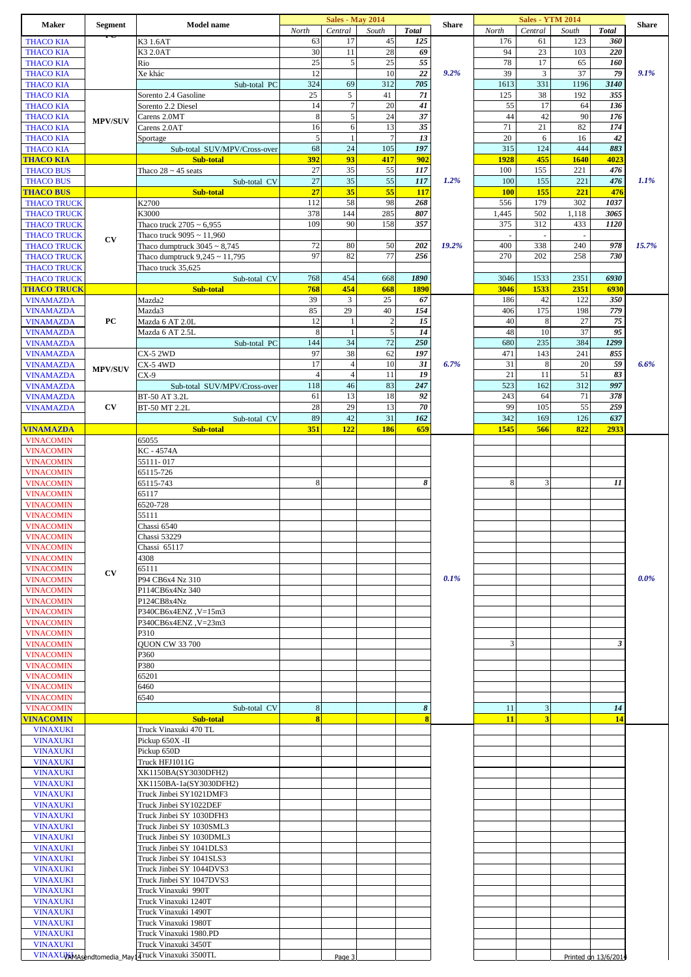| Maker                                    | <b>Segment</b>         | <b>Model name</b>                                    |                         | <b>Sales - May 2014</b> |                |                         | <b>Share</b> |                          | <b>Sales - YTM 2014</b>  |              |                      | <b>Share</b> |
|------------------------------------------|------------------------|------------------------------------------------------|-------------------------|-------------------------|----------------|-------------------------|--------------|--------------------------|--------------------------|--------------|----------------------|--------------|
| <b>THACO KIA</b>                         |                        | K3 1.6AT                                             | North<br>63             | Central<br>17           | South<br>45    | <b>Total</b><br>125     |              | North<br>176             | Central<br>61            | South<br>123 | <b>Total</b><br>360  |              |
| <b>THACO KIA</b>                         |                        | K3 2.0AT                                             | 30                      | 11                      | 28             | 69                      |              | 94                       | 23                       | 103          | 220                  |              |
| <b>THACO KIA</b>                         |                        | Rio                                                  | 25                      | 5                       | 25             | 55                      |              | 78                       | 17                       | 65           | 160                  |              |
| <b>THACO KIA</b>                         |                        | Xe khác                                              | 12                      |                         | 10             | 22                      | 9.2%         | 39                       | $\mathfrak{Z}$           | 37           | 79                   | 9.1%         |
| <b>THACO KIA</b>                         |                        | Sub-total PC                                         | 324                     | 69                      | 312            | 705                     |              | 1613                     | 331                      | 1196         | 3140                 |              |
| <b>THACO KIA</b>                         |                        | Sorento 2.4 Gasoline                                 | 25                      | 5                       | 41             | 71                      |              | 125                      | 38                       | 192          | 355                  |              |
| <b>THACO KIA</b>                         |                        | Sorento 2.2 Diesel                                   | 14<br>8                 | $\overline{7}$<br>5     | 20<br>24       | 41<br>37                |              | 55<br>44                 | 17<br>42                 | 64<br>90     | 136<br>176           |              |
| <b>THACO KIA</b><br><b>THACO KIA</b>     | <b>MPV/SUV</b>         | Carens 2.0MT<br>Carens 2.0AT                         | 16                      | 6                       | 13             | 35                      |              | 71                       | 21                       | 82           | 174                  |              |
| <b>THACO KIA</b>                         |                        | Sportage                                             | $\sqrt{5}$              |                         | $\overline{7}$ | 13                      |              | 20                       | 6                        | 16           | 42                   |              |
| <b>THACO KIA</b>                         |                        | Sub-total SUV/MPV/Cross-over                         | 68                      | 24                      | 105            | 197                     |              | 315                      | 124                      | 444          | 883                  |              |
| <b>THACO KIA</b>                         |                        | Sub-total                                            | 392                     | 93                      | 417            | 902                     |              | 1928                     | 455                      | 1640         | 4023                 |              |
| <b>THACO BUS</b>                         |                        | Thaco $28 \sim 45$ seats                             | 27                      | 35                      | 55             | 117                     |              | 100                      | 155                      | 221          | 476                  |              |
| <b>THACO BUS</b>                         |                        | Sub-total CV                                         | 27                      | 35                      | 55             | 117                     | 1.2%         | 100                      | 155                      | 221          | 476                  | 1.1%         |
| <b>THACO BUS</b><br><b>THACO TRUCK</b>   |                        | Sub-total<br>K2700                                   | 27<br>112               | 35<br>58                | 55<br>98       | <b>117</b><br>268       |              | <b>100</b><br>556        | 155<br>179               | 221<br>302   | 476<br>1037          |              |
| <b>THACO TRUCK</b>                       |                        | K3000                                                | 378                     | 144                     | 285            | 807                     |              | 1,445                    | 502                      | 1,118        | 3065                 |              |
| <b>THACO TRUCK</b>                       |                        | Thaco truck $2705 \sim 6,955$                        | 109                     | 90                      | 158            | 357                     |              | 375                      | 312                      | 433          | 1120                 |              |
| <b>THACO TRUCK</b>                       | CV                     | Thaco truck $9095 \approx 11,960$                    |                         |                         |                |                         |              | $\overline{\phantom{a}}$ | $\overline{\phantom{a}}$ |              |                      |              |
| <b>THACO TRUCK</b>                       |                        | Thaco dumptruck $3045 \sim 8,745$                    | 72                      | 80                      | 50             | 202                     | 19.2%        | 400                      | 338                      | 240          | 978                  | 15.7%        |
| <b>THACO TRUCK</b>                       |                        | Thaco dumptruck $9,245 \sim 11,795$                  | 97                      | 82                      | 77             | 256                     |              | 270                      | 202                      | 258          | 730                  |              |
| <b>THACO TRUCK</b><br><b>THACO TRUCK</b> |                        | Thaco truck 35,625<br>Sub-total CV                   | 768                     | 454                     | 668            | 1890                    |              | 3046                     | 1533                     | 2351         | 6930                 |              |
| <b>THACO TRUCK</b>                       |                        | Sub-total                                            | 768                     | 454                     | 668            | <b>1890</b>             |              | 3046                     | 1533                     | 2351         | 6930                 |              |
| <b>VINAMAZDA</b>                         |                        | Mazda2                                               | 39                      | 3                       | 25             | 67                      |              | 186                      | 42                       | 122          | 350                  |              |
| <b>VINAMAZDA</b>                         |                        | Mazda3                                               | 85                      | 29                      | 40             | 154                     |              | 406                      | 175                      | 198          | 779                  |              |
| <b>VINAMAZDA</b>                         | PC                     | Mazda 6 AT 2.0L                                      | 12                      |                         | $\overline{c}$ | 15                      |              | 40                       | 8                        | 27           | 75                   |              |
| <b>VINAMAZDA</b>                         |                        | Mazda 6 AT 2.5L                                      | 8                       | $\overline{1}$          | 5              | 14                      |              | 48                       | 10                       | 37           | 95                   |              |
| <b>VINAMAZDA</b>                         |                        | Sub-total PC                                         | 144<br>97               | 34<br>38                | 72<br>62       | 250<br>197              |              | 680<br>471               | 235<br>143               | 384<br>241   | 1299                 |              |
| <b>VINAMAZDA</b><br><b>VINAMAZDA</b>     |                        | <b>CX-5 2WD</b><br>CX-5 4WD                          | 17                      | $\overline{4}$          | $10\,$         | 31                      | 6.7%         | 31                       | 8                        | 20           | 855<br>59            | 6.6%         |
| <b>VINAMAZDA</b>                         | <b>MPV/SUV</b>         | $CX-9$                                               | $\overline{4}$          | $\overline{4}$          | 11             | 19                      |              | 21                       | 11                       | 51           | 83                   |              |
| <b>VINAMAZDA</b>                         |                        | Sub-total SUV/MPV/Cross-over                         | 118                     | 46                      | 83             | 247                     |              | 523                      | 162                      | 312          | 997                  |              |
| <b>VINAMAZDA</b>                         |                        | BT-50 AT 3.2L                                        | 61                      | 13                      | 18             | 92                      |              | 243                      | 64                       | 71           | 378                  |              |
| <b>VINAMAZDA</b>                         | $\mathbf{C}\mathbf{V}$ | BT-50 MT 2.2L                                        | 28                      | 29                      | 13             | 70                      |              | 99                       | 105                      | 55           | 259                  |              |
|                                          |                        | Sub-total CV                                         | 89                      | 42                      | 31             | 162                     |              | 342                      | 169                      | 126          | 637                  |              |
| <b>VINAMAZDA</b><br><b>VINACOMIN</b>     |                        | Sub-total<br>65055                                   | 351                     | 122                     | 186            | 659                     |              | 1545                     | 566                      | 822          | 2933                 |              |
| <b>VINACOMIN</b>                         |                        | KC - 4574A                                           |                         |                         |                |                         |              |                          |                          |              |                      |              |
| <b>VINACOMIN</b>                         |                        | 55111-017                                            |                         |                         |                |                         |              |                          |                          |              |                      |              |
| <b>VINACOMIN</b>                         |                        | 65115-726                                            |                         |                         |                |                         |              |                          |                          |              |                      |              |
| <b>VINACOMIN</b>                         |                        | 65115-743                                            | 8                       |                         |                | 8                       |              | 8                        | 3                        |              | 11                   |              |
| <b>VINACOMIN</b>                         |                        | 65117                                                |                         |                         |                |                         |              |                          |                          |              |                      |              |
| <b>VINACOMIN</b><br><b>VINACOMIN</b>     |                        | 6520-728<br>55111                                    |                         |                         |                |                         |              |                          |                          |              |                      |              |
| <b>VINACOMIN</b>                         |                        | Chassi 6540                                          |                         |                         |                |                         |              |                          |                          |              |                      |              |
| <b>VINACOMIN</b>                         |                        | Chassi 53229                                         |                         |                         |                |                         |              |                          |                          |              |                      |              |
| <b>VINACOMIN</b>                         |                        | Chassi 65117                                         |                         |                         |                |                         |              |                          |                          |              |                      |              |
| <b>VINACOMIN</b>                         |                        | 4308                                                 |                         |                         |                |                         |              |                          |                          |              |                      |              |
| <b>VINACOMIN</b>                         | CV                     | 65111                                                |                         |                         |                |                         |              |                          |                          |              |                      |              |
| <b>VINACOMIN</b>                         |                        | P94 CB6x4 Nz 310                                     |                         |                         |                |                         | $0.1\%$      |                          |                          |              |                      | $0.0\%$      |
| <b>VINACOMIN</b><br><b>VINACOMIN</b>     |                        | P114CB6x4Nz 340<br>P124CB8x4Nz                       |                         |                         |                |                         |              |                          |                          |              |                      |              |
| <b>VINACOMIN</b>                         |                        | P340CB6x4ENZ, V=15m3                                 |                         |                         |                |                         |              |                          |                          |              |                      |              |
| <b>VINACOMIN</b>                         |                        | P340CB6x4ENZ, V=23m3                                 |                         |                         |                |                         |              |                          |                          |              |                      |              |
| <b>VINACOMIN</b>                         |                        | P310                                                 |                         |                         |                |                         |              |                          |                          |              |                      |              |
| <b>VINACOMIN</b>                         |                        | <b>QUON CW 33 700</b>                                |                         |                         |                |                         |              | 3                        |                          |              | 3                    |              |
| <b>VINACOMIN</b>                         |                        | P360                                                 |                         |                         |                |                         |              |                          |                          |              |                      |              |
| <b>VINACOMIN</b><br><b>VINACOMIN</b>     |                        | P380<br>65201                                        |                         |                         |                |                         |              |                          |                          |              |                      |              |
| <b>VINACOMIN</b>                         |                        | 6460                                                 |                         |                         |                |                         |              |                          |                          |              |                      |              |
| <b>VINACOMIN</b>                         |                        | 6540                                                 |                         |                         |                |                         |              |                          |                          |              |                      |              |
| <b>VINACOMIN</b>                         |                        | Sub-total CV                                         | 8                       |                         |                | 8                       |              | 11                       | 3                        |              | 14                   |              |
| <b>VINACOMIN</b>                         |                        | Sub-total                                            | $\overline{\mathbf{8}}$ |                         |                | $\overline{\mathbf{8}}$ |              | 11                       | $\overline{\mathbf{3}}$  |              | 14                   |              |
| <b>VINAXUKI</b><br><b>VINAXUKI</b>       |                        | Truck Vinaxuki 470 TL<br>Pickup 650X -II             |                         |                         |                |                         |              |                          |                          |              |                      |              |
| <b>VINAXUKI</b>                          |                        | Pickup 650D                                          |                         |                         |                |                         |              |                          |                          |              |                      |              |
| <b>VINAXUKI</b>                          |                        | Truck HFJ1011G                                       |                         |                         |                |                         |              |                          |                          |              |                      |              |
| <b>VINAXUKI</b>                          |                        | XK1150BA(SY3030DFH2)                                 |                         |                         |                |                         |              |                          |                          |              |                      |              |
| <b>VINAXUKI</b>                          |                        | XK1150BA-1a(SY3030DFH2)                              |                         |                         |                |                         |              |                          |                          |              |                      |              |
| <b>VINAXUKI</b>                          |                        | Truck Jinbei SY1021DMF3                              |                         |                         |                |                         |              |                          |                          |              |                      |              |
| <b>VINAXUKI</b>                          |                        | Truck Jinbei SY1022DEF                               |                         |                         |                |                         |              |                          |                          |              |                      |              |
| <b>VINAXUKI</b><br><b>VINAXUKI</b>       |                        | Truck Jinbei SY 1030DFH3<br>Truck Jinbei SY 1030SML3 |                         |                         |                |                         |              |                          |                          |              |                      |              |
| <b>VINAXUKI</b>                          |                        | Truck Jinbei SY 1030DML3                             |                         |                         |                |                         |              |                          |                          |              |                      |              |
| <b>VINAXUKI</b>                          |                        | Truck Jinbei SY 1041DLS3                             |                         |                         |                |                         |              |                          |                          |              |                      |              |
| <b>VINAXUKI</b>                          |                        | Truck Jinbei SY 1041SLS3                             |                         |                         |                |                         |              |                          |                          |              |                      |              |
| <b>VINAXUKI</b>                          |                        | Truck Jinbei SY 1044DVS3                             |                         |                         |                |                         |              |                          |                          |              |                      |              |
| <b>VINAXUKI</b>                          |                        | Truck Jinbei SY 1047DVS3                             |                         |                         |                |                         |              |                          |                          |              |                      |              |
| <b>VINAXUKI</b><br><b>VINAXUKI</b>       |                        | Truck Vinaxuki 990T<br>Truck Vinaxuki 1240T          |                         |                         |                |                         |              |                          |                          |              |                      |              |
| <b>VINAXUKI</b>                          |                        | Truck Vinaxuki 1490T                                 |                         |                         |                |                         |              |                          |                          |              |                      |              |
| <b>VINAXUKI</b>                          |                        | Truck Vinaxuki 1980T                                 |                         |                         |                |                         |              |                          |                          |              |                      |              |
| <b>VINAXUKI</b>                          |                        | Truck Vinaxuki 1980.PD                               |                         |                         |                |                         |              |                          |                          |              |                      |              |
| <b>VINAXUKI</b>                          |                        | Truck Vinaxuki 3450T                                 |                         |                         |                |                         |              |                          |                          |              |                      |              |
|                                          |                        | VINAXUXAMAsendtomedia_May14Tuck Vinaxuki 3500TL      |                         | Page 3                  |                |                         |              |                          |                          |              | Printed on 13/6/2014 |              |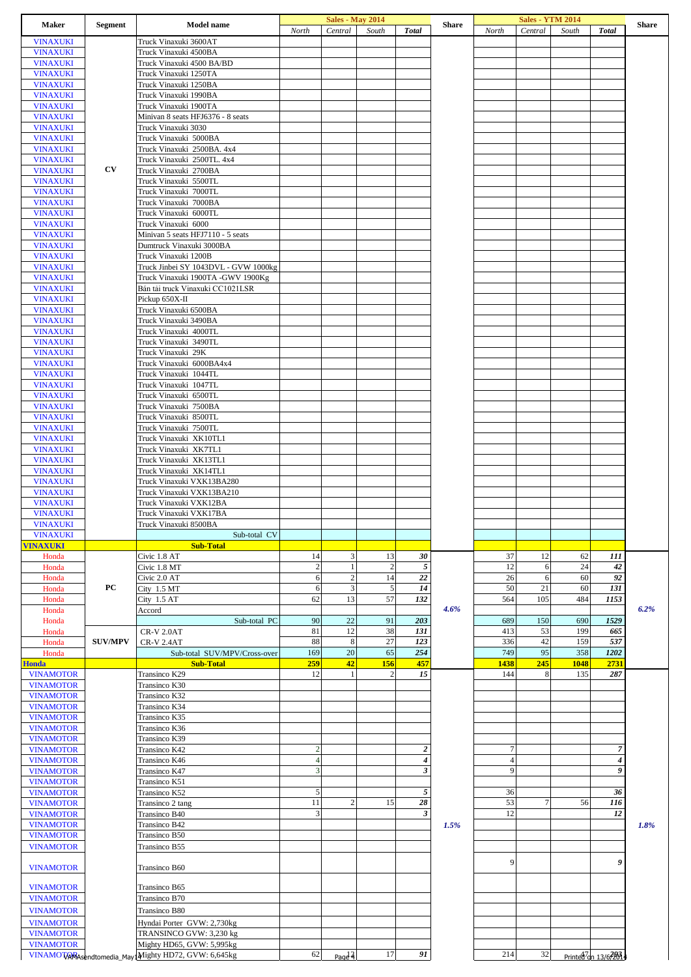| <b>Maker</b>                       | <b>Segment</b> | <b>Model name</b>                                                                | North                | <b>Sales - May 2014</b><br>Central | South                | <b>Total</b>         | <b>Share</b> | North          | <b>Sales - YTM 2014</b><br>Central | South    | <b>Total</b>                     | <b>Share</b> |
|------------------------------------|----------------|----------------------------------------------------------------------------------|----------------------|------------------------------------|----------------------|----------------------|--------------|----------------|------------------------------------|----------|----------------------------------|--------------|
| <b>VINAXUKI</b>                    |                | Truck Vinaxuki 3600AT                                                            |                      |                                    |                      |                      |              |                |                                    |          |                                  |              |
| <b>VINAXUKI</b>                    |                | Truck Vinaxuki 4500BA                                                            |                      |                                    |                      |                      |              |                |                                    |          |                                  |              |
| <b>VINAXUKI</b>                    |                | Truck Vinaxuki 4500 BA/BD                                                        |                      |                                    |                      |                      |              |                |                                    |          |                                  |              |
| <b>VINAXUKI</b>                    |                | Truck Vinaxuki 1250TA                                                            |                      |                                    |                      |                      |              |                |                                    |          |                                  |              |
| <b>VINAXUKI</b>                    |                | Truck Vinaxuki 1250BA                                                            |                      |                                    |                      |                      |              |                |                                    |          |                                  |              |
| <b>VINAXUKI</b>                    |                | Truck Vinaxuki 1990BA                                                            |                      |                                    |                      |                      |              |                |                                    |          |                                  |              |
| <b>VINAXUKI</b>                    |                | Truck Vinaxuki 1900TA                                                            |                      |                                    |                      |                      |              |                |                                    |          |                                  |              |
| <b>VINAXUKI</b>                    |                | Minivan 8 seats HFJ6376 - 8 seats                                                |                      |                                    |                      |                      |              |                |                                    |          |                                  |              |
| <b>VINAXUKI</b>                    |                | Truck Vinaxuki 3030                                                              |                      |                                    |                      |                      |              |                |                                    |          |                                  |              |
| <b>VINAXUKI</b>                    |                | Truck Vinaxuki 5000BA                                                            |                      |                                    |                      |                      |              |                |                                    |          |                                  |              |
| <b>VINAXUKI</b>                    |                | Truck Vinaxuki 2500BA. 4x4                                                       |                      |                                    |                      |                      |              |                |                                    |          |                                  |              |
| <b>VINAXUKI</b>                    |                | Truck Vinaxuki 2500TL. 4x4                                                       |                      |                                    |                      |                      |              |                |                                    |          |                                  |              |
| <b>VINAXUKI</b>                    | CV             | Truck Vinaxuki 2700BA                                                            |                      |                                    |                      |                      |              |                |                                    |          |                                  |              |
| <b>VINAXUKI</b>                    |                | Truck Vinaxuki 5500TL                                                            |                      |                                    |                      |                      |              |                |                                    |          |                                  |              |
| <b>VINAXUKI</b>                    |                | Truck Vinaxuki 7000TL                                                            |                      |                                    |                      |                      |              |                |                                    |          |                                  |              |
| <b>VINAXUKI</b>                    |                | Truck Vinaxuki 7000BA                                                            |                      |                                    |                      |                      |              |                |                                    |          |                                  |              |
| <b>VINAXUKI</b>                    |                | Truck Vinaxuki 6000TL                                                            |                      |                                    |                      |                      |              |                |                                    |          |                                  |              |
| <b>VINAXUKI</b>                    |                | Truck Vinaxuki 6000                                                              |                      |                                    |                      |                      |              |                |                                    |          |                                  |              |
| <b>VINAXUKI</b><br><b>VINAXUKI</b> |                | Minivan 5 seats HFJ7110 - 5 seats<br>Dumtruck Vinaxuki 3000BA                    |                      |                                    |                      |                      |              |                |                                    |          |                                  |              |
| <b>VINAXUKI</b>                    |                | Truck Vinaxuki 1200B                                                             |                      |                                    |                      |                      |              |                |                                    |          |                                  |              |
| <b>VINAXUKI</b>                    |                | Truck Jinbei SY 1043DVL - GVW 1000kg                                             |                      |                                    |                      |                      |              |                |                                    |          |                                  |              |
| <b>VINAXUKI</b>                    |                | Truck Vinaxuki 1900TA -GWV 1900Kg                                                |                      |                                    |                      |                      |              |                |                                    |          |                                  |              |
| <b>VINAXUKI</b>                    |                | Bán tải truck Vinaxuki CC1021LSR                                                 |                      |                                    |                      |                      |              |                |                                    |          |                                  |              |
| <b>VINAXUKI</b>                    |                | Pickup 650X-II                                                                   |                      |                                    |                      |                      |              |                |                                    |          |                                  |              |
| <b>VINAXUKI</b>                    |                | Truck Vinaxuki 6500BA                                                            |                      |                                    |                      |                      |              |                |                                    |          |                                  |              |
| <b>VINAXUKI</b>                    |                | Truck Vinaxuki 3490BA                                                            |                      |                                    |                      |                      |              |                |                                    |          |                                  |              |
| <b>VINAXUKI</b>                    |                | Truck Vinaxuki 4000TL                                                            |                      |                                    |                      |                      |              |                |                                    |          |                                  |              |
| <b>VINAXUKI</b>                    |                | Truck Vinaxuki 3490TL                                                            |                      |                                    |                      |                      |              |                |                                    |          |                                  |              |
| <b>VINAXUKI</b>                    |                | Truck Vinaxuki 29K                                                               |                      |                                    |                      |                      |              |                |                                    |          |                                  |              |
| <b>VINAXUKI</b>                    |                | Truck Vinaxuki 6000BA4x4                                                         |                      |                                    |                      |                      |              |                |                                    |          |                                  |              |
| <b>VINAXUKI</b>                    |                | Truck Vinaxuki 1044TL                                                            |                      |                                    |                      |                      |              |                |                                    |          |                                  |              |
| <b>VINAXUKI</b>                    |                | Truck Vinaxuki 1047TL                                                            |                      |                                    |                      |                      |              |                |                                    |          |                                  |              |
| <b>VINAXUKI</b>                    |                | Truck Vinaxuki 6500TL                                                            |                      |                                    |                      |                      |              |                |                                    |          |                                  |              |
| <b>VINAXUKI</b>                    |                | Truck Vinaxuki 7500BA                                                            |                      |                                    |                      |                      |              |                |                                    |          |                                  |              |
| <b>VINAXUKI</b>                    |                | Truck Vinaxuki 8500TL                                                            |                      |                                    |                      |                      |              |                |                                    |          |                                  |              |
| <b>VINAXUKI</b>                    |                | Truck Vinaxuki 7500TL                                                            |                      |                                    |                      |                      |              |                |                                    |          |                                  |              |
| <b>VINAXUKI</b>                    |                | Truck Vinaxuki XK10TL1                                                           |                      |                                    |                      |                      |              |                |                                    |          |                                  |              |
| <b>VINAXUKI</b>                    |                | Truck Vinaxuki XK7TL1                                                            |                      |                                    |                      |                      |              |                |                                    |          |                                  |              |
| <b>VINAXUKI</b>                    |                | Truck Vinaxuki XK13TL1                                                           |                      |                                    |                      |                      |              |                |                                    |          |                                  |              |
| <b>VINAXUKI</b>                    |                | Truck Vinaxuki XK14TL1                                                           |                      |                                    |                      |                      |              |                |                                    |          |                                  |              |
| <b>VINAXUKI</b>                    |                | Truck Vinaxuki VXK13BA280                                                        |                      |                                    |                      |                      |              |                |                                    |          |                                  |              |
| <b>VINAXUKI</b>                    |                | Truck Vinaxuki VXK13BA210                                                        |                      |                                    |                      |                      |              |                |                                    |          |                                  |              |
| <b>VINAXUKI</b>                    |                | Truck Vinaxuki VXK12BA<br>Truck Vinaxuki VXK17BA                                 |                      |                                    |                      |                      |              |                |                                    |          |                                  |              |
| <b>VINAXUKI</b><br><b>VINAXUKI</b> |                | Truck Vinaxuki 8500BA                                                            |                      |                                    |                      |                      |              |                |                                    |          |                                  |              |
| <b>VINAXUKI</b>                    |                | Sub-total CV                                                                     |                      |                                    |                      |                      |              |                |                                    |          |                                  |              |
| <b>VINAXUKI</b>                    |                |                                                                                  |                      |                                    |                      |                      |              |                |                                    |          |                                  |              |
|                                    |                |                                                                                  |                      |                                    |                      |                      |              |                |                                    |          |                                  |              |
|                                    |                | <b>Sub-Total</b>                                                                 |                      |                                    |                      |                      |              |                |                                    |          |                                  |              |
| Honda                              |                | Civic 1.8 AT                                                                     | 14<br>$\overline{c}$ | 3<br>$\mathbf{1}$                  | 13<br>$\overline{2}$ | 30                   |              | 37<br>12       | 12<br>6                            | 62<br>24 | 111                              |              |
| Honda                              |                | Civic 1.8 MT                                                                     | 6                    |                                    | 14                   | $\sqrt{5}$<br>22     |              | 26             | 6                                  | 60       | 42<br>92                         |              |
| Honda<br>Honda                     | PС             | Civic 2.0 AT<br>City $1.5$ MT                                                    | 6                    | $\sqrt{2}$<br>$\mathfrak 3$        | $\sqrt{5}$           | 14                   |              | 50             | 21                                 | 60       | 131                              |              |
| Honda                              |                | City $1.5AT$                                                                     | 62                   | 13                                 | 57                   | 132                  |              | 564            | 105                                | 484      | 1153                             |              |
| Honda                              |                | Accord                                                                           |                      |                                    |                      |                      | 4.6%         |                |                                    |          |                                  | 6.2%         |
| Honda                              |                | Sub-total PC                                                                     | 90                   | 22                                 | 91                   | 203                  |              | 689            | 150                                | 690      | 1529                             |              |
| Honda                              |                | <b>CR-V 2.0AT</b>                                                                | 81                   | 12                                 | 38                   | 131                  |              | 413            | 53                                 | 199      | 665                              |              |
| Honda                              | <b>SUV/MPV</b> | <b>CR-V 2.4AT</b>                                                                | 88                   | 8                                  | 27                   | 123                  |              | 336            | 42                                 | 159      | 537                              |              |
| Honda                              |                | Sub-total SUV/MPV/Cross-over                                                     | 169                  | 20                                 | 65                   | 254                  |              | 749            | 95                                 | 358      | 1202                             |              |
| <b>Honda</b>                       |                | <b>Sub-Total</b>                                                                 | 259                  | 42                                 | 156                  | 457                  |              | 1438           | 245                                | 1048     | 2731                             |              |
| <b>VINAMOTOR</b>                   |                | Transinco K29                                                                    | 12                   | $\mathbf{1}$                       | $\overline{2}$       | 15                   |              | 144            | 8                                  | 135      | 287                              |              |
| <b>VINAMOTOR</b>                   |                | Transinco K30                                                                    |                      |                                    |                      |                      |              |                |                                    |          |                                  |              |
| <b>VINAMOTOR</b>                   |                | Transinco K32                                                                    |                      |                                    |                      |                      |              |                |                                    |          |                                  |              |
| <b>VINAMOTOR</b>                   |                | Transinco K34                                                                    |                      |                                    |                      |                      |              |                |                                    |          |                                  |              |
| <b>VINAMOTOR</b>                   |                | Transinco K35                                                                    |                      |                                    |                      |                      |              |                |                                    |          |                                  |              |
| <b>VINAMOTOR</b>                   |                | Transinco K36                                                                    |                      |                                    |                      |                      |              |                |                                    |          |                                  |              |
| <b>VINAMOTOR</b>                   |                | Transinco K39                                                                    |                      |                                    |                      |                      |              |                |                                    |          |                                  |              |
| <b>VINAMOTOR</b>                   |                | Transinco K42                                                                    | $\overline{c}$       |                                    |                      | $\boldsymbol{2}$     |              | $\overline{7}$ |                                    |          | $\overline{7}$                   |              |
| <b>VINAMOTOR</b>                   |                | Transinco K46                                                                    | $\overline{4}$       |                                    |                      | $\pmb{4}$            |              | $\overline{4}$ |                                    |          | $\boldsymbol{4}$                 |              |
| <b>VINAMOTOR</b>                   |                | Transinco K47                                                                    | 3                    |                                    |                      | $\boldsymbol{\beta}$ |              | 9              |                                    |          | 9                                |              |
| <b>VINAMOTOR</b>                   |                | Transinco K51                                                                    |                      |                                    |                      |                      |              |                |                                    |          |                                  |              |
| <b>VINAMOTOR</b>                   |                | Transinco K52                                                                    | 5<br>11              | $\overline{c}$                     |                      | $\sqrt{5}$           |              | 36             | $\overline{7}$                     |          | 36                               |              |
| <b>VINAMOTOR</b>                   |                | Transinco 2 tang                                                                 |                      |                                    | 15                   | 28                   |              | 53             |                                    | 56       | 116                              |              |
| <b>VINAMOTOR</b>                   |                | Transinco B40                                                                    | 3                    |                                    |                      | $\boldsymbol{\beta}$ |              | 12             |                                    |          | 12                               |              |
| <b>VINAMOTOR</b>                   |                | Transinco B42<br>Transinco B50                                                   |                      |                                    |                      |                      | 1.5%         |                |                                    |          |                                  | 1.8%         |
| <b>VINAMOTOR</b>                   |                | Transinco B55                                                                    |                      |                                    |                      |                      |              |                |                                    |          |                                  |              |
| <b>VINAMOTOR</b>                   |                |                                                                                  |                      |                                    |                      |                      |              |                |                                    |          |                                  |              |
| <b>VINAMOTOR</b>                   |                | Transinco B60                                                                    |                      |                                    |                      |                      |              | 9              |                                    |          | 9                                |              |
|                                    |                |                                                                                  |                      |                                    |                      |                      |              |                |                                    |          |                                  |              |
| <b>VINAMOTOR</b>                   |                | Transinco B65                                                                    |                      |                                    |                      |                      |              |                |                                    |          |                                  |              |
| <b>VINAMOTOR</b>                   |                | Transinco B70                                                                    |                      |                                    |                      |                      |              |                |                                    |          |                                  |              |
| <b>VINAMOTOR</b>                   |                | Transinco B80                                                                    |                      |                                    |                      |                      |              |                |                                    |          |                                  |              |
| <b>VINAMOTOR</b>                   |                | Hyndai Porter GVW: 2,730kg                                                       |                      |                                    |                      |                      |              |                |                                    |          |                                  |              |
| <b>VINAMOTOR</b>                   |                | TRANSINCO GVW: 3,230 kg                                                          |                      |                                    |                      |                      |              |                |                                    |          |                                  |              |
| <b>VINAMOTOR</b>                   |                | Mighty HD65, GVW: 5,995kg<br>VINAMOTARAsendtomedia_May1Mighty HD72, GVW: 6,645kg | 62                   |                                    | 17                   | 91                   |              | 214            | 32                                 |          | Printed <sup>7</sup> an 13/67261 |              |